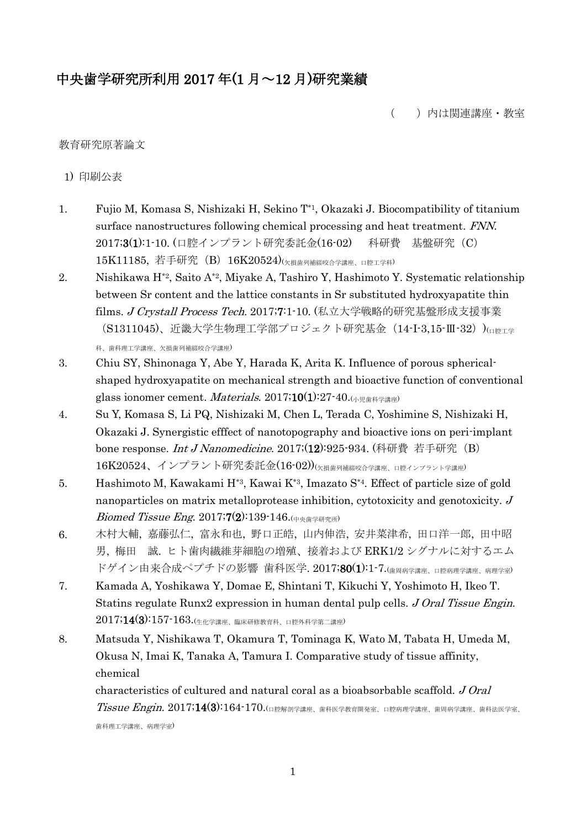# 中央歯学研究所利用 2017 年(1 月~12 月)研究業績

( )内は関連講座・教室

## 教育研究原著論文

1) 印刷公表

- 1. Fujio M, Komasa S, Nishizaki H, Sekino T\*1, Okazaki J. Biocompatibility of titanium surface nanostructures following chemical processing and heat treatment. FNN. 2017;3(1):1-10. (口腔インプラント研究委託金(16-02) 科研費 基盤研究 (C) 15K11185, 若手研究 (B) 16K20524)(欠損歯列補綴咬合学講座、口腔工学科)
- 2. Nishikawa H\*2, Saito A\*2, Miyake A, Tashiro Y, Hashimoto Y. Systematic relationship between Sr content and the lattice constants in Sr substituted hydroxyapatite thin films. J Crystall Process Tech. 2017;7:1-10. (私立大学戦略的研究基盤形成支援事業 (S1311045)、近畿大学生物理工学部プロジェクト研究基金 (14-I-3,15-Ⅲ-32))(□ PET学 科、歯科理工学講座、欠損歯列補綴咬合学講座)
- 3. Chiu SY, Shinonaga Y, Abe Y, Harada K, Arita K. Influence of porous sphericalshaped hydroxyapatite on mechanical strength and bioactive function of conventional glass ionomer cement. *Materials*. 2017;10(1):27-40.  $(\sqrt{k} \otimes \mathbb{R})^2$
- 4. Su Y, Komasa S, Li PQ, Nishizaki M, Chen L, Terada C, Yoshimine S, Nishizaki H, Okazaki J. Synergistic efffect of nanotopography and bioactive ions on peri-implant bone response. *Int J Nanomedicine*. 2017; $(12)$ :925-934. (科研費 若手研究(B) 16K20524、インプラント研究委託金(16-02))<sub>(欠損歯列補綴咬合学講座、口腔インプラント学講座)</sub>
- 5. Hashimoto M, Kawakami H\*3, Kawai K\*3, Imazato S\*4. Effect of particle size of gold nanoparticles on matrix metalloprotease inhibition, cytotoxicity and genotoxicity.  $J$  $Biomed$  Tissue Eng. 2017;7(2):139-146.( $p + p$ b)
- 6. 木村大輔, 嘉藤弘仁, 富永和也, 野口正皓, 山内伸浩, 安井菜津希, 田口洋一郎, 田中昭 男, 梅田 誠. ヒト歯肉繊維芽細胞の増殖、接着および ERK1/2 シグナルに対するエム ドゲイン由来合成ペプチドの影響 歯科医学. 2017;80(1):1-7.(歯周病学講座、口腔病理学講座、病理学室)
- 7. Kamada A, Yoshikawa Y, Domae E, Shintani T, Kikuchi Y, Yoshimoto H, Ikeo T. Statins regulate Runx2 expression in human dental pulp cells. J Oral Tissue Engin.  $2017;14(3):157\text{-}163.$ (生化学講座、臨床研修教育科、口腔外科学第二講座)
- 8. Matsuda Y, Nishikawa T, Okamura T, Tominaga K, Wato M, Tabata H, Umeda M, Okusa N, Imai K, Tanaka A, Tamura I. Comparative study of tissue affinity, chemical

characteristics of cultured and natural coral as a bioabsorbable scaffold. J Oral  $T$ issue  $Engin$ .  $2017;14(3):164 \cdot 170$ .(口腔解剖学講座、歯科医学教育開発室、口腔病理学講座、歯周病学講座、歯科法医学室、 歯科理工学講座、病理学室)

1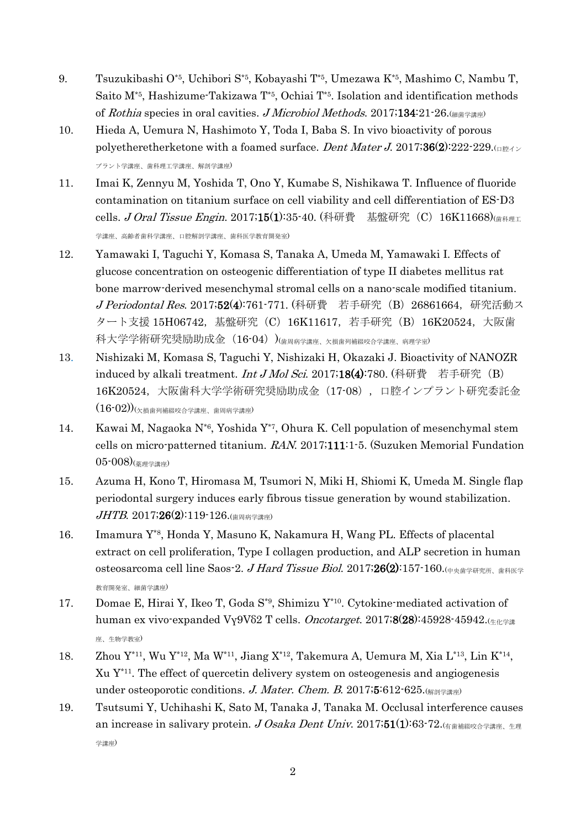- 9. Tsuzukibashi O\*5, Uchibori S\*5, Kobayashi T\*5, Umezawa K\*5, Mashimo C, Nambu T, Saito  $M^*$ <sup>5</sup>, Hashizume-Takizawa  $T^*$ <sup>5</sup>, Ochiai  $T^*$ <sup>5</sup>, Isolation and identification methods of Rothia species in oral cavities. J Microbiol Methods. 2017;134:21-26. $\left(\frac{m}{n}\right)^{2}$
- 10. Hieda A, Uemura N, Hashimoto Y, Toda I, Baba S. In vivo bioactivity of porous polyetheretherketone with a foamed surface. Dent Mater J. 2017;36(2):222-229. プラント学講座、歯科理工学講座、解剖学講座)
- 11. Imai K, Zennyu M, Yoshida T, Ono Y, Kumabe S, Nishikawa T. Influence of fluoride contamination on titanium surface on cell viability and cell differentiation of ES-D3 cells. J Oral Tissue Engin. 2017;15(1):35-40. (科研費 – 基盤研究 (C) 16K11668)(<sub>歯科理工</sub> 学講座、高齢者歯科学講座、口腔解剖学講座、歯科医学教育開発室)
- 12. Yamawaki I, Taguchi Y, Komasa S, Tanaka A, Umeda M, Yamawaki I. Effects of glucose concentration on osteogenic differentiation of type II diabetes mellitus rat bone marrow-derived mesenchymal stromal cells on a nano-scale modified titanium. J Periodontal Res. 2017;52(4):761-771. (科研費 若手研究 (B) 26861664, 研究活動ス タート支援 15H06742,基盤研究(C)16K11617,若手研究(B)16K20524,大阪歯 科大学学術研究奨励助成金 (16-04) )(歯周病学講座、欠損歯列補綴咬合学講座、病理学室)
- 13. Nishizaki M, Komasa S, Taguchi Y, Nishizaki H, Okazaki J. Bioactivity of NANOZR induced by alkali treatment. *Int J Mol Sci.* 2017;18(4):780. (科研費 若手研究(B) 16K20524, 大阪歯科大学学術研究奨励助成金 (17-08), 口腔インプラント研究委託金  $(16\text{-}02))$ (<sub>欠損歯列補綴咬合学講座、歯周病学講座)</sub>
- 14. Kawai M, Nagaoka N\*6 , Yoshida Y\*7, Ohura K. Cell population of mesenchymal stem cells on micro-patterned titanium. RAN. 2017;111:1-5. (Suzuken Memorial Fundation 05-008)(薬理学講座)
- 15. Azuma H, Kono T, Hiromasa M, Tsumori N, Miki H, Shiomi K, Umeda M. Single flap periodontal surgery induces early fibrous tissue generation by wound stabilization.  $JHTB. 2017;26(2):119-126.$ (歯周病学講座)
- 16. Imamura Y\*8 , Honda Y, Masuno K, Nakamura H, Wang PL. Effects of placental extract on cell proliferation, Type I collagen production, and ALP secretion in human osteosarcoma cell line Saos-2. J Hard Tissue Biol. 2017;26(2):157-160. $(+p+\nmid \frac{\nmid p}{\nmid p} + \nmid \frac{\nmid p}{\nmid p} + \nmid \frac{\nmid p}{\nmid p} + \nmid \frac{\nmid p}{\nmid p} + \nmid \frac{\nmid p}{\nmid p} + \nmid \frac{\nmid p}{\nmid p} + \nmid \frac{\nmid p}{\nmid p} + \nmid \frac{\nmid p}{\nmid p} + \nmid \frac{\nmid p}{\nmid p} + \nmid \$ 教育開発室、細菌学講座)
- 17. Domae E, Hirai Y, Ikeo T, Goda S\*9, Shimizu Y\*10. Cytokine-mediated activation of human ex vivo-expanded Vγ9Vδ2 T cells. Oncotarget. 2017;8(28):45928-45942. $\mu_{\text{H\text{-H\&}}\text{H\&}}$ 座、生物学教室)
- 18. Zhou  $Y^{*11}$ , Wu  $Y^{*12}$ , Ma W<sup>\*11</sup>, Jiang X<sup>\*12</sup>, Takemura A, Uemura M, Xia L<sup>\*13</sup>, Lin K<sup>\*14</sup>, Xu Y\*11 . The effect of quercetin delivery system on osteogenesis and angiogenesis under osteoporotic conditions. J. Mater. Chem. B. 2017;5:612-625. $\left(\frac{1}{n}\right)^{2}$
- 19. Tsutsumi Y, Uchihashi K, Sato M, Tanaka J, Tanaka M. Occlusal interference causes an increase in salivary protein. J Osaka Dent Univ. 2017;51(1):63-72. 学講座)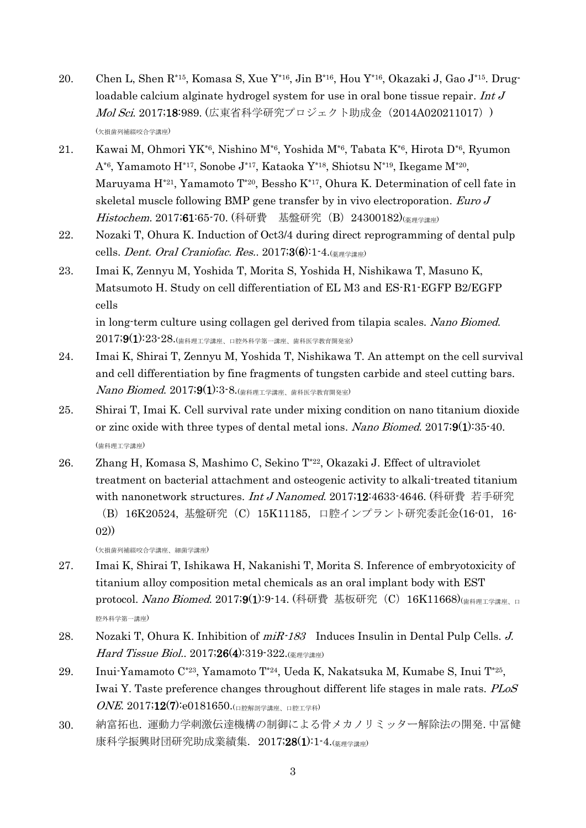- 20. Chen L, Shen R\*15, Komasa S, Xue Y\*16, Jin B\*16, Hou Y\*16, Okazaki J, Gao J\*15. Drugloadable calcium alginate hydrogel system for use in oral bone tissue repair. Int J Mol Sci. 2017;18:989. (広東省科学研究プロジェクト助成金 (2014A020211017)) (欠損歯列補綴咬合学講座)
- 21. Kawai M, Ohmori YK<sup>\*6</sup>, Nishino M<sup>\*6</sup>, Yoshida M<sup>\*6</sup>, Tabata K<sup>\*6</sup>, Hirota D<sup>\*6</sup>, Ryumon A\*6 , Yamamoto H\*17, Sonobe J\*17, Kataoka Y\*18, Shiotsu N\*19, Ikegame M\*20 , Maruyama H\*21, Yamamoto T\*20, Bessho K\*17, Ohura K. Determination of cell fate in skeletal muscle following BMP gene transfer by in vivo electroporation. Euro J Histochem. 2017;61:65-70. (科研費 基盤研究 (B) 24300182)(<sub>薬理学講座</sub>)
- 22. Nozaki T, Ohura K. Induction of Oct3/4 during direct reprogramming of dental pulp cells. *Dent. Oral Craniofac. Res.*.  $2017;36$ : 1-4. $\left(\frac{1}{16}\right)^{12}$
- 23. Imai K, Zennyu M, Yoshida T, Morita S, Yoshida H, Nishikawa T, Masuno K, Matsumoto H. Study on cell differentiation of EL M3 and ES-R1-EGFP B2/EGFP cells in long-term culture using collagen gel derived from tilapia scales. Nano Biomed.

 $2017$ ;9(1):23-28.(歯科理工学講座、口腔外科学第一講座、歯科医学教育開発室)

- 24. Imai K, Shirai T, Zennyu M, Yoshida T, Nishikawa T. An attempt on the cell survival and cell differentiation by fine fragments of tungsten carbide and steel cutting bars.  $\emph{Nano Biomed.}$   $2017;9(1):3$ -8. $\rm{(\small{th444}H\&Fe)}$  体科医学教育開発室)
- 25. Shirai T, Imai K. Cell survival rate under mixing condition on nano titanium dioxide or zinc oxide with three types of dental metal ions. Nano Biomed. 2017;9(1):35-40. (歯科理工学講座)
- 26. Zhang H, Komasa S, Mashimo C, Sekino T\*22, Okazaki J. Effect of ultraviolet treatment on bacterial attachment and osteogenic activity to alkali-treated titanium with nanonetwork structures. Int J Nanomed. 2017;12:4633-4646. (科研費 若手研究

(欠損歯列補綴咬合学講座、細菌学講座)

- 27. Imai K, Shirai T, Ishikawa H, Nakanishi T, Morita S. Inference of embryotoxicity of titanium alloy composition metal chemicals as an oral implant body with EST protocol. Nano Biomed. 2017;9(1):9-14. (科研費 基板研究 (C) 16K11668)(<sub>歯科理工学講座、口</sub> 腔外科学第一講座)
- 28. Nozaki T, Ohura K. Inhibition of miR-183 Induces Insulin in Dental Pulp Cells. J. Hard Tissue Biol.. 2017;26(4):319-322.(<sub>薬理学講座</sub>)
- 29. Inui-Yamamoto C\*23, Yamamoto T\*24, Ueda K, Nakatsuka M, Kumabe S, Inui T\*25 , Iwai Y. Taste preference changes throughout different life stages in male rats. PLoS ONE. 2017;12(7):e0181650.(口腔解剖学講座、口腔工学科)
- 30. 納富拓也. 運動力学刺激伝達機構の制御による骨メカノリミッター解除法の開発.中冨健 康科学振興財団研究助成業績集. 2017;28(1):1-4.(薬理学講座)

<sup>(</sup>B) 16K20524, 基盤研究 (C) 15K11185, 口腔インプラント研究委託金(16-01, 16-02))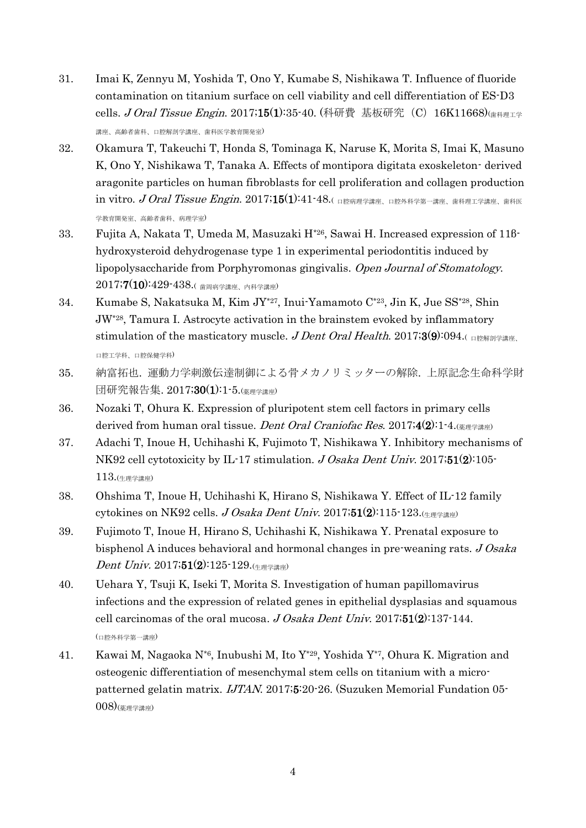- 31. Imai K, Zennyu M, Yoshida T, Ono Y, Kumabe S, Nishikawa T. Influence of fluoride contamination on titanium surface on cell viability and cell differentiation of ES-D3 cells. J Oral Tissue Engin. 2017;15(1):35-40. (科研費 基板研究 (C) 16K11668)( 前科理工学 講座、高齢者歯科、口腔解剖学講座、歯科医学教育開発室)
- 32. Okamura T, Takeuchi T, Honda S, Tominaga K, Naruse K, Morita S, Imai K, Masuno K, Ono Y, Nishikawa T, Tanaka A. Effects of montipora digitata exoskeleton- derived aragonite particles on human fibroblasts for cell proliferation and collagen production  $i$ n vitro.  $J$  Oral Tissue Engin. 2017;15(1):41-48.( 口腔病理学講座、口腔外科学第一講座、歯科理工学講座、歯科医 学教育開発室、高齢者歯科、病理学室)
- 33. Fujita A, Nakata T, Umeda M, Masuzaki H\*26, Sawai H. Increased expression of 11βhydroxysteroid dehydrogenase type 1 in experimental periodontitis induced by lipopolysaccharide from Porphyromonas gingivalis. Open Journal of Stomatology. 2017;7(10):429-438.( 歯周病学講座、内科学講座)
- 34. Kumabe S, Nakatsuka M, Kim JY\*27, Inui-Yamamoto C\*23, Jin K, Jue SS\*28, Shin JW\*28, Tamura I. Astrocyte activation in the brainstem evoked by inflammatory stimulation of the masticatory muscle. J Dent Oral Health. 2017;3(9):094.( $\Box$ 口腔工学科、口腔保健学科)
- 35. 納富拓也. 運動力学刺激伝達制御による骨メカノリミッターの解除. 上原記念生命科学財 団研究報告集. 2017;30(1):1-5.(薬理学講座)
- 36. Nozaki T, Ohura K. Expression of pluripotent stem cell factors in primary cells derived from human oral tissue. Dent Oral Craniofac Res. 2017;4(2):1-4. $\left(\frac{1}{\frac{1}{2}}\right)$
- 37. Adachi T, Inoue H, Uchihashi K, Fujimoto T, Nishikawa Y. Inhibitory mechanisms of NK92 cell cytotoxicity by IL-17 stimulation. J Osaka Dent Univ. 2017;51(2):105-113.(生理学講座)
- 38. Ohshima T, Inoue H, Uchihashi K, Hirano S, Nishikawa Y. Effect of IL-12 family cytokines on NK92 cells. J Osaka Dent Univ. 2017;51(2):115-123.
- 39. Fujimoto T, Inoue H, Hirano S, Uchihashi K, Nishikawa Y. Prenatal exposure to bisphenol A induces behavioral and hormonal changes in pre-weaning rats. J Osaka Dent Univ. 2017;51(2):125-129.  $(\pm \frac{1}{2})$
- 40. Uehara Y, Tsuji K, Iseki T, Morita S. Investigation of human papillomavirus infections and the expression of related genes in epithelial dysplasias and squamous cell carcinomas of the oral mucosa. J Osaka Dent Univ. 2017;51(2):137-144. (口腔外科学第一講座)
- 41. Kawai M, Nagaoka N\*6 , Inubushi M, Ito Y\*29, Yoshida Y\*7, Ohura K. Migration and osteogenic differentiation of mesenchymal stem cells on titanium with a micropatterned gelatin matrix. IJTAN. 2017;5:20-26. (Suzuken Memorial Fundation 05- 008)(薬理学講座)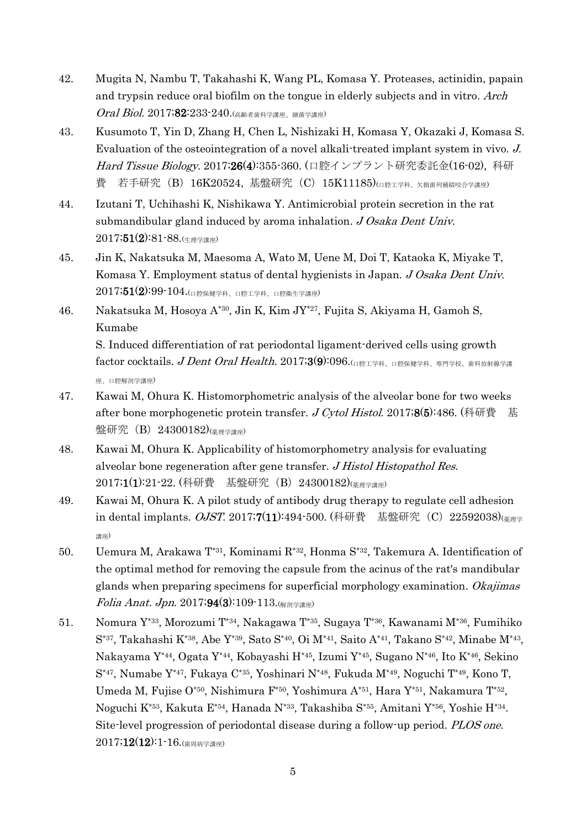- 42. Mugita N, Nambu T, Takahashi K, Wang PL, Komasa Y. Proteases, actinidin, papain and trypsin reduce oral biofilm on the tongue in elderly subjects and in vitro. Arch Oral Biol. 2017;82:233-240.(高齢者歯科学講座、細菌学講座)
- 43. Kusumoto T, Yin D, Zhang H, Chen L, Nishizaki H, Komasa Y, Okazaki J, Komasa S. Evaluation of the osteointegration of a novel alkali-treated implant system in vivo. J. Hard Tissue Biology. 2017;26(4):355-360. (口腔インプラント研究委託金(16-02), 科研 費 若手研究 (B) 16K20524, 基盤研究 (C) 15K11185)(ロ腔工学科、欠損歯列補綴咬合学講座)
- 44. Izutani T, Uchihashi K, Nishikawa Y. Antimicrobial protein secretion in the rat submandibular gland induced by aroma inhalation. J Osaka Dent Univ.  $2017;51(2):81-88.$ (生理学講座)
- 45. Jin K, Nakatsuka M, Maesoma A, Wato M, Uene M, Doi T, Kataoka K, Miyake T, Komasa Y. Employment status of dental hygienists in Japan. J Osaka Dent Univ.  $2017;51(2):99 \cdot 104.$ (口腔保健学科、口腔工学科、口腔衛生学講座)
- 46. Nakatsuka M, Hosoya A\*30, Jin K, Kim JY\*27, Fujita S, Akiyama H, Gamoh S, Kumabe

S. Induced differentiation of rat periodontal ligament-derived cells using growth  $\text{factor} \text{ cocktails. } J \text{ Dent} \text{ Oral Health. } 2017\text{;}3(9)\text{:}096.$  $\text{(n} \text{E} \text{I} \# \text{A} \text{ } n \text{E} \# \text{E} \# \text{A} \text{ } n \text{E} \# \text{A} \text{ } n \text{E} \# \text{A} \text{ } n \text{E} \# \text{A} \text{ } n \text{E} \# \text{A} \text{ } n \text{E} \# \text{A} \text{ } n \text{E} \# \text{A} \text{ } n \text{E} \# \text{A} \text$ 座、口腔解剖学講座)

- 47. Kawai M, Ohura K. Histomorphometric analysis of the alveolar bone for two weeks after bone morphogenetic protein transfer. J Cytol Histol. 2017;8(5):486. (科研費 基 盤研究(B)24300182)(<sub>薬理学講座)</sub>
- 48. Kawai M, Ohura K. Applicability of histomorphometry analysis for evaluating alveolar bone regeneration after gene transfer. J Histol Histopathol Res. 2017;1(1):21-22. (科研費 基盤研究 (B) 24300182)(<sub>薬理学講座)</sub>
- 49. Kawai M, Ohura K. A pilot study of antibody drug therapy to regulate cell adhesion in dental implants. OJST. 2017;7(11):494-500. (科研費 基盤研究(C) 22592038)(<sub>薬理学</sub> 講座)
- 50. Uemura M, Arakawa T\*31, Kominami R\*32, Honma S\*32, Takemura A. Identification of the optimal method for removing the capsule from the acinus of the rat's mandibular glands when preparing specimens for superficial morphology examination. Okajimas *Folia Anat. Jpn.* 2017;94(3):109-113.( $\frac{\text{min}}{\text{max}}$ )
- 51. Nomura Y\*33 , Morozumi T\*34 , Nakagawa T\*35, Sugaya T\*36, Kawanami M\*36, Fumihiko  $S^{*37}$ , Takahashi K<sup>\*38</sup>, Abe Y<sup>\*39</sup>, Sato S<sup>\*40</sup>, Oi M<sup>\*41</sup>, Saito A<sup>\*41</sup>, Takano S<sup>\*42</sup>, Minabe M<sup>\*43</sup>, Nakayama Y\*44 , Ogata Y\*44, Kobayashi H\*45, Izumi Y\*45 , Sugano N\*46, Ito K\*46, Sekino S<sup>\*47</sup>, Numabe Y<sup>\*47</sup>, Fukaya C<sup>\*35</sup>, Yoshinari N<sup>\*48</sup>, Fukuda M<sup>\*49</sup>, Noguchi T<sup>\*49</sup>, Kono T, Umeda M, Fujise O\*50, Nishimura F<sup>\*50</sup>, Yoshimura A<sup>\*51</sup>, Hara Y<sup>\*51</sup>, Nakamura T<sup>\*52</sup>, Noguchi K<sup>\*53</sup>, Kakuta E<sup>\*54</sup>, Hanada N<sup>\*33</sup>, Takashiba S<sup>\*55</sup>, Amitani Y<sup>\*56</sup>, Yoshie H<sup>\*34</sup>. Site-level progression of periodontal disease during a follow-up period. PLOS one.  $2017;12(12):1-16.$ (歯周病学講座)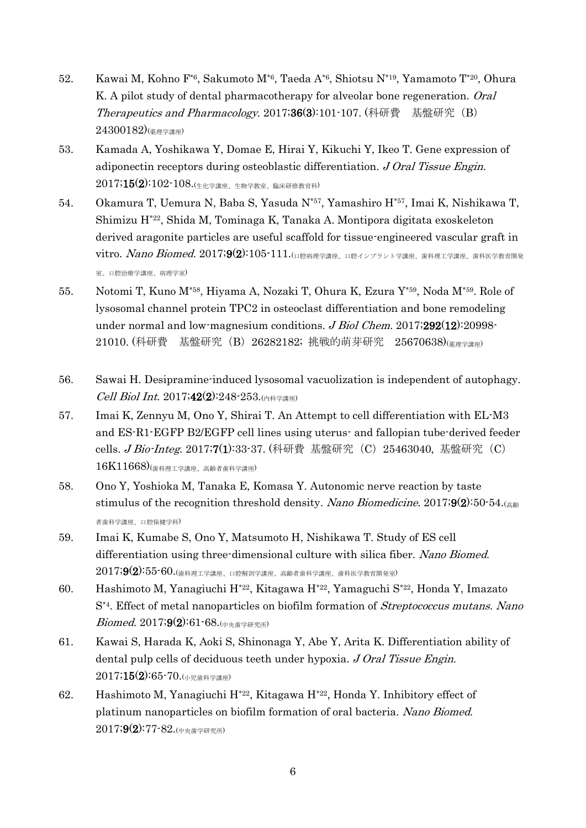- 52. Kawai M, Kohno F\*6 , Sakumoto M\*6 , Taeda A\*6 , Shiotsu N\*19, Yamamoto T\*20, Ohura K. A pilot study of dental pharmacotherapy for alveolar bone regeneration. *Oral* Therapeutics and Pharmacology. 2017;36(3):101-107. (科研費 基盤研究(B)  $(24300182)$ (臺理学講座)
- 53. Kamada A, Yoshikawa Y, Domae E, Hirai Y, Kikuchi Y, Ikeo T. Gene expression of adiponectin receptors during osteoblastic differentiation. J Oral Tissue Engin.  $2017;15(2):102\text{-}108.$ (生化学講座、生物学教室、臨床研修教育科)
- 54. Okamura T, Uemura N, Baba S, Yasuda N\*57 , Yamashiro H\*57 , Imai K, Nishikawa T, Shimizu H\*22, Shida M, Tominaga K, Tanaka A. Montipora digitata exoskeleton derived aragonite particles are useful scaffold for tissue-engineered vascular graft in  $vitro.$   $Nano$   $Biomed.$   $2017;$ 9 $(2):$ 105 $\cdot$ 111. $\left($  $n$ 腔病理学講座、ロ腔インプラント学講座、歯科理工学講座、歯科医学教育開発 室、口腔治療学講座、病理学室)
- 55. Notomi T, Kuno M\*58 , Hiyama A, Nozaki T, Ohura K, Ezura Y\*59, Noda M\*59. Role of lysosomal channel protein TPC2 in osteoclast differentiation and bone remodeling under normal and low-magnesium conditions.  $J$  Biol Chem. 2017;292(12):20998-21010. (科研費 基盤研究(B)26282182; 挑戦的萌芽研究 25670638)(薬理学講座)
- 56. Sawai H. Desipramine-induced lysosomal vacuolization is independent of autophagy. Cell Biol Int. 2017;42(2):248-253.(内科学講座)
- 57. Imai K, Zennyu M, Ono Y, Shirai T. An Attempt to cell differentiation with EL-M3 and ES-R1-EGFP B2/EGFP cell lines using uterus- and fallopian tube-derived feeder cells. *J Bio-Integ*. 2017;7(1):33-37. (科研費 基盤研究(C) 25463040, 基盤研究(C) 16K11668)(歯科理工学講座、高齢者歯科学講座)
- 58. Ono Y, Yoshioka M, Tanaka E, Komasa Y. Autonomic nerve reaction by taste stimulus of the recognition threshold density. Nano Biomedicine. 2017;9(2):50-54. 者歯科学講座、口腔保健学科)
- 59. Imai K, Kumabe S, Ono Y, Matsumoto H, Nishikawa T. Study of ES cell differentiation using three-dimensional culture with silica fiber. Nano Biomed.  $2017$ ; $9(2)$ : $55$ - $60$ .(歯科理工学講座、口腔解剖学講座、高齢者歯科学講座、歯科医学教育開発室)
- 60. Hashimoto M, Yanagiuchi H\*22, Kitagawa H\*22 , Yamaguchi S\*22, Honda Y, Imazato S<sup>\*4</sup>. Effect of metal nanoparticles on biofilm formation of Streptococcus mutans. Nano  $Biomed. 2017;9(2):61-68.$ (中央歯学研究所)
- 61. Kawai S, Harada K, Aoki S, Shinonaga Y, Abe Y, Arita K. Differentiation ability of dental pulp cells of deciduous teeth under hypoxia. J Oral Tissue Engin.  $2017;15(2):65-70.$ (小児歯科学講座)
- 62. Hashimoto M, Yanagiuchi H\*22, Kitagawa H\*22, Honda Y. Inhibitory effect of platinum nanoparticles on biofilm formation of oral bacteria. Nano Biomed. 2017;9(2):77-82.(中央歯学研究所)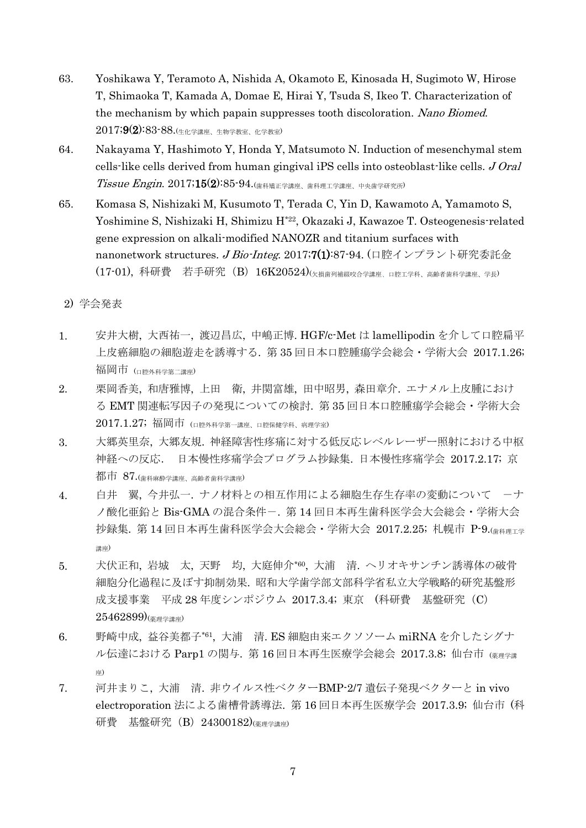- 63. Yoshikawa Y, Teramoto A, Nishida A, Okamoto E, Kinosada H, Sugimoto W, Hirose T, Shimaoka T, Kamada A, Domae E, Hirai Y, Tsuda S, Ikeo T. Characterization of the mechanism by which papain suppresses tooth discoloration. Nano Biomed. 2017;9(2):83-88.(生化学講座、生物学教室、化学教室)
- 64. Nakayama Y, Hashimoto Y, Honda Y, Matsumoto N. Induction of mesenchymal stem cells-like cells derived from human gingival iPS cells into osteoblast-like cells. J Oral  $Tissue$   $Engin$ .  $2017$ ;  $15(2)$ :  $85$ - $94$ .  $\left(\frac{1}{100}\right)$   $\frac{1}{100}$   $\frac{1}{100}$   $\frac{1}{100}$   $\frac{1}{100}$   $\frac{1}{100}$   $\frac{1}{100}$   $\frac{1}{100}$   $\frac{1}{100}$   $\frac{1}{100}$   $\frac{1}{100}$   $\frac{1}{100}$   $\frac{1}{100}$   $\frac{1}{100}$   $\frac{1}{100$
- 65. Komasa S, Nishizaki M, Kusumoto T, Terada C, Yin D, Kawamoto A, Yamamoto S, Yoshimine S, Nishizaki H, Shimizu H<sup>\*22</sup>, Okazaki J, Kawazoe T. Osteogenesis-related gene expression on alkali-modified NANOZR and titanium surfaces with nanonetwork structures. J Bio-Integ. 2017;7(1):87-94. (口腔インプラント研究委託金  $(17\text{-}01)$ ,科研費 若手研究(B)16K20524)(欠損歯列補綴咬合学講座、口腔工学科、高齢者歯科学講座、学長)

#### 2) 学会発表

- 1. 安井大樹, 大西祐一, 渡辺昌広, 中嶋正博. HGF/c-Met は lamellipodin を介して口腔扁平 上皮癌細胞の細胞遊走を誘導する. 第 35 回日本口腔腫瘍学会総会・学術大会 2017.1.26; 福岡市 (口腔外科学第二講座)
- 2. 栗岡香美, 和唐雅博, 上田 衛, 井関富雄, 田中昭男, 森田章介. エナメル上皮腫におけ る EMT 関連転写因子の発現についての検討. 第 35 回日本口腔腫瘍学会総会・学術大会  $2017.1.27$ ; 福岡市 (ロ腔外科学第一講座、口腔保健学科、病理学室)
- 3. 大郷英里奈, 大郷友規. 神経障害性疼痛に対する低反応レベルレーザー照射における中枢 神経への反応. 日本慢性疼痛学会プログラム抄録集. 日本慢性疼痛学会 2017.2.17; 京  $\frac{1}{40}$   $\overline{6}$   $\overline{1}$   $\overline{6}$   $\overline{6}$   $\overline{6}$   $\overline{6}$   $\overline{6}$   $\overline{6}$   $\overline{6}$   $\overline{6}$   $\overline{6}$   $\overline{6}$   $\overline{6}$   $\overline{6}$   $\overline{6}$   $\overline{6}$   $\overline{6}$   $\overline{6}$   $\overline{6}$   $\overline{6}$   $\overline{6}$   $\overline{6}$   $\overline{6}$   $\$
- 4. 白井 翼, 今井弘一. ナノ材料との相互作用による細胞生存生存率の変動について ーナ ノ酸化亜鉛と Bis-GMA の混合条件-. 第 14 回日本再生歯科医学会大会総会・学術大会 抄録集. 第 14 回日本再生歯科医学会大会総会・学術大会 2017.2.25; 札幌市 P-9.(歯科理エ学 講座)
- 5. 犬伏正和, 岩城 太, 天野 均, 大庭伸介\*60 , 大浦 清. ヘリオキサンチン誘導体の破骨 細胞分化過程に及ぼす抑制効果. 昭和大学歯学部文部科学省私立大学戦略的研究基盤形 成支援事業 平成 28 年度シンポジウム 2017.3.4; 東京 (科研費 基盤研究 (C)  $(25462899)_{(\text{\&\hspace{0.1cm}\text{H}\hspace{0.1cm}\text{H}\hspace{0.1cm}\text{H}\hspace{0.1cm}\text{H}\hspace{0.1cm}\text{H}\hspace{0.1cm}\text{H}\hspace{0.1cm}\text{H}\hspace{0.1cm}\text{H}\hspace{0.1cm}\text{H}\hspace{0.1cm}\text{H}\hspace{0.1cm}\text{H}\hspace{0.1cm}\text{H}\hspace{0.1cm}\text{H}\hspace{0.1cm}\text{H}\hspace{0.1cm}\text{H}\hspace{0.1cm}\text{H}\hspace{0.1cm}\text{H}\$
- 6. 野崎中成, 益谷美都子\*61 , 大浦 清. ES 細胞由来エクソソーム miRNA を介したシグナ ル伝達における Parp1 の関与. 第16回日本再生医療学会総会 2017.3.8; 仙台市 (※理学講 座)
- 7. 河井まりこ, 大浦 清. 非ウイルス性ベクターBMP-2/7 遺伝子発現ベクターと in vivo electroporation 法による歯槽骨誘導法. 第 16 回日本再生医療学会 2017.3.9; 仙台市 (科 研費 基盤研究 (B) 24300182)( $\frac{1}{\frac{1}{2}}$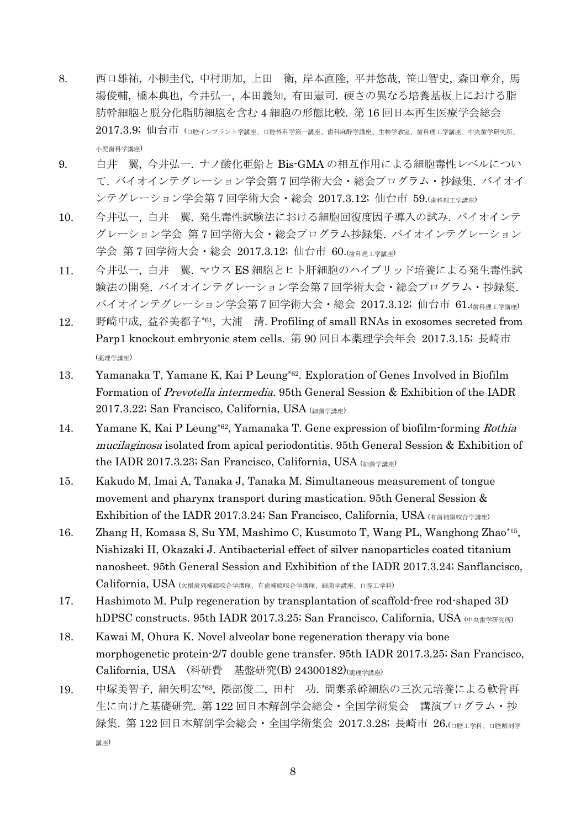- 8. 西口雄祐, 小柳圭代, 中村朋加, 上田 衛, 岸本直隆, 平井悠哉, 笹山智史, 森田章介, 馬 場俊輔, 橋本典也, 今井弘一, 本田義知, 有田憲司. 硬さの異なる培養基板上における脂 肪幹細胞と脱分化脂肪細胞を含む 4 細胞の形態比較. 第 16 回日本再生医療学会総会  $2017.3.9$ ; 仙台市  $\,$ (ロ腔インプラント学講座、ロ腔外科学第一講座、歯科麻酔学講座、生物学教室、歯科理工学講座、中央歯学研究所、 小児歯科学講座)
- 9. 白井 翼, 今井弘一. ナノ酸化亜鉛と Bis-GMA の相互作用による細胞毒性レベルについ て. バイオインテグレーション学会第 7 回学術大会・総会プログラム・抄録集. バイオイ ンテグレーション学会第 7 回学術大会・総会 2017.3.12; 仙台市 59.(歯科理工学講座)
- 10. 今井弘一, 白井 翼. 発生毒性試験法における細胞回復度因子導入の試み. バイオインテ グレーション学会 第 7 回学術大会・総会プログラム抄録集. バイオインテグレーション 学会 第 7 回学術大会・総会 2017.3.12; 仙台市 60. (歯科理工学講座)
- 11. 今井弘一, 白井 翼. マウス ES 細胞とヒト肝細胞のハイブリッド培養による発生毒性試 験法の開発. バイオインテグレーション学会第7回学術大会・総会プログラム・抄録集. バイオインテグレーション学会第7回学術大会・総会 2017.3.12; 仙台市 61.(歯科理工学講座)
- 12. 野崎中成, 益谷美都子\*61 , 大浦 清. Profiling of small RNAs in exosomes secreted from Parp1 knockout embryonic stem cells. 第 90 回日本薬理学会年会 2017.3.15; 長崎市 (薬理学講座)
- 13. Yamanaka T, Yamane K, Kai P Leung\*62 . Exploration of Genes Involved in Biofilm Formation of Prevotella intermedia. 95th General Session & Exhibition of the IADR 2017.3.22; San Francisco, California, USA (細菌学講座)
- 14. Yamane K, Kai P Leung<sup>\*62</sup>, Yamanaka T. Gene expression of biofilm-forming Rothia mucilaginosa isolated from apical periodontitis. 95th General Session & Exhibition of the IADR 2017.3.23; San Francisco, California, USA (細菌学講座)
- 15. Kakudo M, Imai A, Tanaka J, Tanaka M. Simultaneous measurement of tongue movement and pharynx transport during mastication. 95th General Session & Exhibition of the IADR 2017.3.24; San Francisco, California, USA  $(4\pi\frac{1}{4}\frac{1}{4}$
- 16. Zhang H, Komasa S, Su YM, Mashimo C, Kusumoto T, Wang PL, Wanghong Zhao\*15 , Nishizaki H, Okazaki J. Antibacterial effect of silver nanoparticles coated titanium nanosheet. 95th General Session and Exhibition of the IADR 2017.3.24; Sanflancisco, California, USA (欠損歯列補綴咬合学講座、有歯補綴咬合学講座、細菌学講座、口腔工学科)
- 17. Hashimoto M. Pulp regeneration by transplantation of scaffold-free rod-shaped 3D hDPSC constructs. 95th IADR 2017.3.25; San Francisco, California, USA  $(1 + \lambda)$
- 18. Kawai M, Ohura K. Novel alveolar bone regeneration therapy via bone morphogenetic protein-2/7 double gene transfer. 95th IADR 2017.3.25; San Francisco, California, USA (科研費 基盤研究(B) 24300182)(薬理学講座)
- 19. 中塚美智子, 細矢明宏\*63 , 隈部俊二, 田村 功. 間葉系幹細胞の三次元培養による軟骨再 生に向けた基礎研究. 第 122 回日本解剖学会総会・全国学術集会 講演プログラム・抄 録集. 第 122 回日本解剖学会総会・全国学術集会 2017.3.28; 長崎市 26. LEREI 学科、ロ腔解剖学 講座)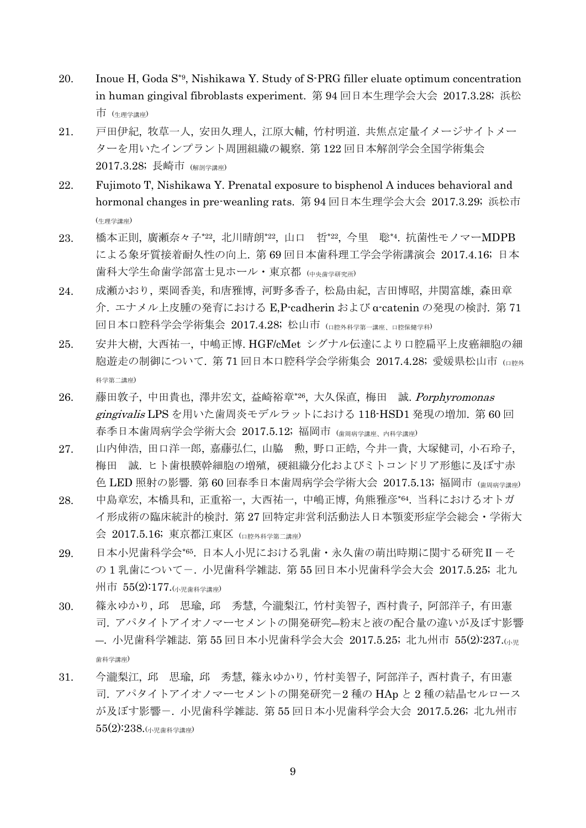- 20. Inoue H, Goda S\*9, Nishikawa Y. Study of S-PRG filler eluate optimum concentration in human gingival fibroblasts experiment. 第 94 回日本生理学会大会 2017.3.28; 浜松 市 (生理学講座)
- 21. 戸田伊紀, 牧草一人, 安田久理人, 江原大輔, 竹村明道. 共焦点定量イメージサイトメー ターを用いたインプラント周囲組織の観察. 第 122 回日本解剖学会全国学術集会 2017.3.28; 長崎市 (解剖学講座)
- 22. Fujimoto T, Nishikawa Y. Prenatal exposure to bisphenol A induces behavioral and hormonal changes in pre-weanling rats. 第 94 回日本生理学会大会 2017.3.29; 浜松市 (生理学講座)
- 23. 橋本正則, 廣瀬奈々子\*22, 北川晴朗\*22, 山口 哲\*22, 今里 聡\*4. 抗菌性モノマーMDPB による象牙質接着耐久性の向上. 第 69 回日本歯科理工学会学術講演会 2017.4.16; 日本 歯科大学生命歯学部富士見ホール・東京都 (中央歯学研究所)
- 24. 成瀬かおり, 栗岡香美, 和唐雅博, 河野多香子, 松島由紀, 吉田博昭, 井関富雄, 森田章 介. エナメル上皮腫の発育における E,P-cadherin および α-catenin の発現の検討. 第 71 回日本口腔科学会学術集会 2017.4.28; 松山市 (口腔外科学第一講座、口腔保健学科)
- 25. 安井大樹, 大西祐一, 中嶋正博. HGF/cMet シグナル伝達により口腔扁平上皮癌細胞の細 胞游走の制御について. 第 71 回日本口腔科学会学術集会 2017.4.28; 愛媛県松山市 (ロ腔外 科学第二講座)
- 26. 藤田敦子, 中田貴也, 澤井宏文, 益崎裕章\*26, 大久保直, 梅田 誠. Porphyromonas gingivalis LPS を用いた歯周炎モデルラットにおける 11β-HSD1 発現の増加. 第 60 回 春季日本歯周病学会学術大会 2017.5.12; 福岡市 (歯周病学講座、内科学講座)
- 27. 山内伸浩, 田口洋一郎, 嘉藤弘仁, 山脇 勲, 野口正皓, 今井一貴, 大塚健司, 小石玲子, 梅田 誠. ヒト歯根膜幹細胞の増殖,硬組織分化およびミトコンドリア形態に及ぼす赤 色 LED 照射の影響. 第60回春季日本歯周病学会学術大会 2017.5.13; 福岡市 (歯周病学講座)
- 28. 中島章宏, 本橋具和, 正重裕一, 大西祐一, 中嶋正博, 角熊雅彦\*64 . 当科におけるオトガ イ形成術の臨床統計的検討. 第 27 回特定非営利活動法人日本顎変形症学会総会・学術大 会 2017.5.16; 東京都江東区 (口腔外科学第二講座)
- 29. 日本小児歯科学会\*65 . 日本人小児における乳歯・永久歯の萌出時期に関する研究Ⅱ-そ の1乳歯についてー. 小児歯科学雑誌. 第55回日本小児歯科学会大会 2017.5.25; 北九 州市 55(2):177.(小児歯科学講座)
- 30. 篠永ゆかり, 邱 思瑜, 邱 秀慧, 今瀧梨江, 竹村美智子, 西村貴子, 阿部洋子, 有田憲 司. アパタイトアイオノマーセメントの開発研究―粉末と液の配合量の違いが及ぼす影響 ―. 小児歯科学雑誌. 第 55 回日本小児歯科学会大会 2017.5.25; 北九州市 55(2):237.(小児 歯科学講座)
- 31. 今瀧梨江, 邱 思瑜, 邱 秀慧, 篠永ゆかり, 竹村美智子, 阿部洋子, 西村貴子, 有田憲 司. アパタイトアイオノマーセメントの開発研究-2 種の HAp と 2 種の結晶セルロース が及ぼす影響-. 小児歯科学雑誌. 第 55 回日本小児歯科学会大会 2017.5.26; 北九州市 55(2):238.(小児歯科学講座)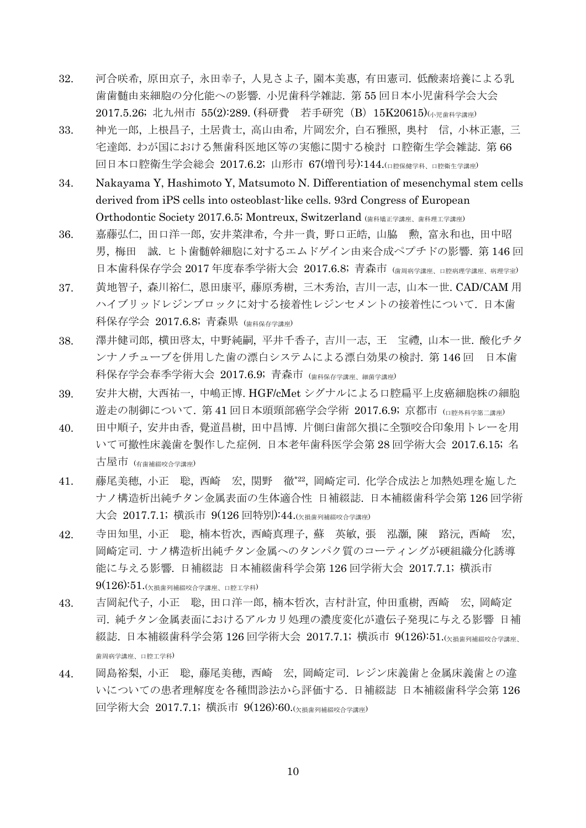- 32. 河合咲希, 原田京子, 永田幸子, 人見さよ子, 園本美惠, 有田憲司. 低酸素培養による乳 歯歯髄由来細胞の分化能への影響. 小児歯科学雑誌. 第 55 回日本小児歯科学会大会 2017.5.26; 北九州市 55(2):289. (科研費 若手研究 (B) 15K20615)(小児歯科学講座)
- 33. 神光一郎, 上根昌子, 土居貴士, 高山由希, 片岡宏介, 白石雅照, 奥村 信, 小林正憲, 三 宅達郎. わが国における無歯科医地区等の実態に関する検討 口腔衛生学会雑誌. 第 66 回日本口腔衛生学会総会 2017.6.2; 山形市 67(増刊号):144.(口腔保健学科、口腔衛生学講座)
- 34. Nakayama Y, Hashimoto Y, Matsumoto N. Differentiation of mesenchymal stem cells derived from iPS cells into osteoblast-like cells. 93rd Congress of European Orthodontic Society 2017.6.5; Montreux, Switzerland (歯科矯正学講座、歯科理工学講座)
- 36. 嘉藤弘仁, 田口洋一郎, 安井菜津希, 今井一貴, 野口正皓, 山脇 勲, 富永和也, 田中昭 男, 梅田 誠. ヒト歯髄幹細胞に対するエムドゲイン由来合成ペプチドの影響. 第 146 回 日本歯科保存学会 2017 年度春季学術大会 2017.6.8; 青森市 (歯周病学講座、口腔病理学講座、病理学室)
- 37. 黄地智子, 森川裕仁, 恩田康平, 藤原秀樹, 三木秀治, 吉川一志, 山本一世. CAD/CAM 用 ハイブリッドレジンブロックに対する接着性レジンセメントの接着性について. 日本歯 科保存学会 2017.6.8; 青森県 (歯科保存学講座)
- 38. 澤井健司郎, 横田啓太, 中野純嗣, 平井千香子, 吉川一志, 王 宝禮, 山本一世. 酸化チタ ンナノチューブを併用した歯の漂白システムによる漂白効果の検討. 第 146 回 日本歯 科保存学会春季学術大会 2017.6.9; 青森市 (歯科保存学講座、細菌学講座)
- 39. 安井大樹, 大西祐一, 中嶋正博. HGF/cMet シグナルによる口腔扁平上皮癌細胞株の細胞 遊走の制御について. 第 41 回日本頭頸部癌学会学術 2017.6.9; 京都市 (口腔外科学第二講座)
- 40. 田中順子, 安井由香, 覺道昌樹, 田中昌博. 片側臼歯部欠損に全顎咬合印象用トレーを用 いて可撤性床義歯を製作した症例. 日本老年歯科医学会第 28 回学術大会 2017.6.15; 名 古屋市 (有歯補綴咬合学講座)
- 41. 藤尾美穂, 小正 聡, 西崎 宏, 関野 徹\*22 , 岡崎定司. 化学合成法と加熱処理を施した ナノ構造析出純チタン金属表面の生体適合性 日補綴誌. 日本補綴歯科学会第 126 回学術 大会 2017.7.1; 横浜市 9(126 回特別):44.(欠損歯列補綴咬合学講座)
- 42. 寺田知里, 小正 聡, 楠本哲次, 西崎真理子, 蘇 英敏, 張 泓灝, 陳 路沅, 西崎 宏, 岡崎定司. ナノ構造析出純チタン金属へのタンパク質のコーティングが硬組織分化誘導 能に与える影響. 日補綴誌 日本補綴歯科学会第 126 回学術大会 2017.7.1; 横浜市  $9(126)$ :51. $\left(\times$ 損歯列補綴咬合学講座、口腔工学科)
- 43. 吉岡紀代子, 小正 聡, 田口洋一郎, 楠本哲次, 吉村計宣, 仲田重樹, 西崎 宏, 岡崎定 司. 純チタン金属表面におけるアルカリ処理の濃度変化が遺伝子発現に与える影響 日補 綴誌. 日本補綴歯科学会第 126 回学術大会 2017.7.1; 横浜市 9(126):51.(欠損歯列補綴咬合学講座、 歯周病学講座、口腔工学科)
- 44. 岡島裕梨, 小正 聡, 藤尾美穂, 西崎 宏, 岡崎定司. レジン床義歯と金属床義歯との違 いについての患者理解度を各種問診法から評価する. 日補綴誌 日本補綴歯科学会第 126 回学術大会 2017.7.1; 横浜市 9(126):60.(欠損歯列補綴咬合学講座)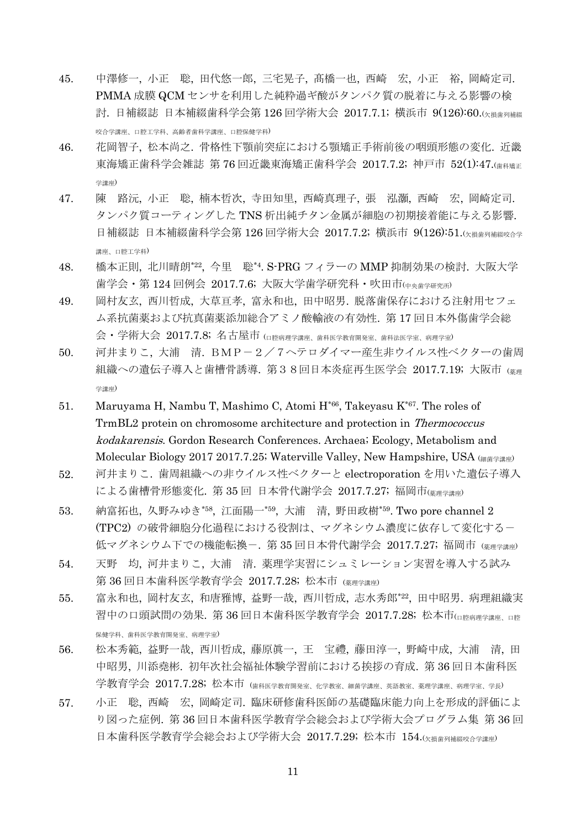- 45. 中澤修一, 小正 聡, 田代悠一郎, 三宅晃子, 髙橋一也, 西崎 宏, 小正 裕, 岡崎定司. PMMA 成膜 QCM センサを利用した純粋過ギ酸がタンパク質の脱着に与える影響の検 討. 日補綴誌 日本補綴歯科学会第 126 回学術大会 2017.7.1; 横浜市 9(126):60.(欠損歯列補綴 咬合学講座、口腔工学科、高齢者歯科学講座、口腔保健学科)
- 46. 花岡智子, 松本尚之. 骨格性下顎前突症における顎矯正手術前後の咽頭形態の変化. 近畿 東海矯正歯科学会雑誌 第 76 回近畿東海矯正歯科学会 2017.7.2; 神戸市 52(1):47.(<sub>歯科矯正</sub> 学講座)
- 47. 陳 路沅, 小正 聡, 楠本哲次, 寺田知里, 西崎真理子, 張 泓灝, 西崎 宏, 岡崎定司. タンパク質コーティングした TNS 析出純チタン金属が細胞の初期接着能に与える影響. 日補綴誌 日本補綴歯科学会第 126 回学術大会 2017.7.2; 横浜市 9(126):51.(\*##列補綴咬合学 講座、口腔工学科)
- 48. 橋本正則, 北川晴朗\*22 , 今里 聡\*4. S-PRG フィラーの MMP 抑制効果の検討. 大阪大学 歯学会・第 124 回例会 2017.7.6; 大阪大学歯学研究科・吹田市(中央歯学研究所)
- 49. 岡村友玄, 西川哲成, 大草亘孝, 富永和也, 田中昭男. 脱落歯保存における注射用セフェ ム系抗菌薬および抗真菌薬添加総合アミノ酸輸液の有効性. 第 17 回日本外傷歯学会総 会・学術大会 2017.7.8; 名古屋市 (口腔病理学講座、歯科医学教育開発室、歯科法医学室、病理学室)
- 50. 河井まりこ, 大浦 清. BMP-2/7ヘテロダイマー産生非ウイルス性ベクターの歯周 組織への遺伝子導入と歯槽骨誘導. 第38回日本炎症再生医学会 2017.7.19; 大阪市 (薬理 学講座)
- 51. Maruyama H, Nambu T, Mashimo C, Atomi  $H^{*66}$ , Takeyasu  $K^{*67}$ . The roles of TrmBL2 protein on chromosome architecture and protection in Thermococcus kodakarensis. Gordon Research Conferences. Archaea; Ecology, Metabolism and Molecular Biology 2017 2017.7.25; Waterville Valley, New Hampshire, USA (細菌学講座)
- 52. 河井まりこ. 歯周組織への非ウイルス性ベクターと electroporation を用いた遺伝子導入 による歯槽骨形態変化. 第35回 日本骨代謝学会 2017.7.27; 福岡市(第理学講座)
- 53. 納富拓也, 久野みゆき\*58 , 江面陽一\*59 , 大浦 清, 野田政樹\*59. Two pore channel 2 (TPC2) の破骨細胞分化過程における役割は、マグネシウム濃度に依存して変化する- 低マグネシウム下での機能転換ー. 第 35 回日本骨代謝学会 2017.7.27; 福岡市 (※理学講座)
- 54. 天野 均, 河井まりこ, 大浦 清. 薬理学実習にシュミレーション実習を導入する試み 第 36 回日本歯科医学教育学会 2017.7.28; 松本市 (薬理学講座)
- 55. 富永和也, 岡村友玄, 和唐雅博, 益野一哉, 西川哲成, 志水秀郎\*22 , 田中昭男. 病理組織実 習中の口頭試問の効果. 第 36 回日本歯科医学教育学会 2017.7.28; 松本市(ロ腔病理学講座、ロ腔 保健学科、歯科医学教育開発室、病理学室)
- 56. 松本秀範, 益野一哉, 西川哲成, 藤原眞一, 王 宝禮, 藤田淳一, 野崎中成, 大浦 清, 田 中昭男, 川添堯彬. 初年次社会福祉体験学習前における挨拶の育成. 第 36 回日本歯科医 学教育学会 2017.7.28; 松本市 (歯科医学教育開発室、化学教室、細菌学講座、英語教室、薬理学講座、病理学室、学長)
- 57. 小正 聡, 西崎 宏, 岡崎定司. 臨床研修歯科医師の基礎臨床能力向上を形成的評価によ り図った症例. 第 36 回日本歯科医学教育学会総会および学術大会プログラム集 第 36 回 日本歯科医学教育学会総会および学術大会 2017.7.29; 松本市 154.(欠損歯列補綴咬合学講座)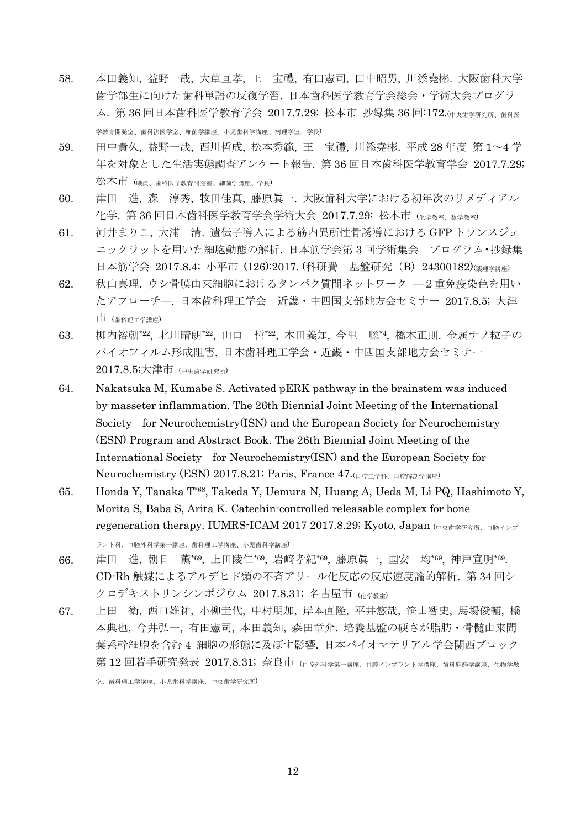- 58. 本田義知, 益野一哉, 大草亘孝, 王 宝禮, 有田憲司, 田中昭男, 川添堯彬. 大阪歯科大学 歯学部生に向けた歯科単語の反復学習. 日本歯科医学教育学会総会・学術大会プログラ ム. 第 36 回日本歯科医学教育学会 2017.7.29; 松本市 抄録集 36 回:172.(中央歯学研究所、歯科医 学教育開発室、歯科法医学室、細菌学講座、小児歯科学講座、病理学室、学長)
- 59. 田中貴久, 益野一哉, 西川哲成, 松本秀範, 王 宝禮, 川添堯彬. 平成 28 年度 第 1~4 学 年を対象とした生活実態調査アンケート報告. 第 36 回日本歯科医学教育学会 2017.7.29; 松本市 (職員、歯科医学教育開発室、細菌学講座、学長)
- 60. 津田 進, 森 淳秀, 牧田佳真, 藤原眞一. 大阪歯科大学における初年次のリメディアル 化学. 第 36 回日本歯科医学教育学会学術大会 2017.7.29; 松本市 (化学教室、数学教室)
- 61. 河井まりこ, 大浦 清. 遺伝子導入による筋内異所性骨誘導における GFP トランスジェ ニックラットを用いた細胞動態の解析. 日本筋学会第 3 回学術集会 プログラム•抄録集 日本筋学会 2017.8.4; 小平市 (126):2017. (科研費 基盤研究 (B) 24300182)(※理学講座)
- 62. 秋山真理. ウシ骨膜由来細胞におけるタンパク質間ネットワーク —2重免疫染色を用い たアプローチ—. 日本歯科理工学会 近畿・中四国支部地方会セミナー 2017.8.5; 大津 市 (歯科理工学講座)
- 63. 柳内裕朝\*22, 北川晴朗\*22, 山口 哲\*22, 本田義知, 今里 聡\*4, 橋本正則. 金属ナノ粒子の バイオフィルム形成阻害. 日本歯科理工学会・近畿・中四国支部地方会セミナー 2017.8.5;大津市 (中央歯学研究所)
- 64. Nakatsuka M, Kumabe S. Activated pERK pathway in the brainstem was induced by masseter inflammation. The 26th Biennial Joint Meeting of the International Society for Neurochemistry(ISN) and the European Society for Neurochemistry (ESN) Program and Abstract Book. The 26th Biennial Joint Meeting of the International Society for Neurochemistry(ISN) and the European Society for Neurochemistry (ESN) 2017.8.21; Paris, France 47. (口腔工学科、口腔解剖学講座)
- 65. Honda Y, Tanaka T\*68, Takeda Y, Uemura N, Huang A, Ueda M, Li PQ, Hashimoto Y, Morita S, Baba S, Arita K. Catechin-controlled releasable complex for bone regeneration therapy. IUMRS-ICAM 2017 2017.8.29; Kyoto, Japan  $($  $p_{\#}$  $\#$  $p_{\#}$  $\ldots$

ラント科、口腔外科学第一講座、歯科理工学講座、小児歯科学講座)

- 66. 津田 進, 朝日 薫\*69, 上田陵仁\*69, 岩﨑孝紀\*69, 藤原眞一, 国安 均\*69, 神戸宣明\*69. CD-Rh 触媒によるアルデヒド類の不斉アリール化反応の反応速度論的解析. 第 34 回シ クロデキストリンシンポジウム 2017.8.31; 名古屋市 (化学教室)
- 67. 上田 衛, 西口雄祐, 小柳圭代, 中村朋加, 岸本直隆, 平井悠哉, 笹山智史, 馬場俊輔, 橋 本典也, 今井弘一, 有田憲司, 本田義知, 森田章介. 培養基盤の硬さが脂肪・骨髄由来間 葉系幹細胞を含む 4 細胞の形態に及ぼす影響. 日本バイオマテリアル学会関西ブロック 第 12 回若手研究発表 2017.8.31; 奈良市 (ロ腔外科学第一講座、ロ腔インプラント学講座、歯科麻酔学講座、生物学教

室、歯科理工学講座、小児歯科学講座、中央歯学研究所)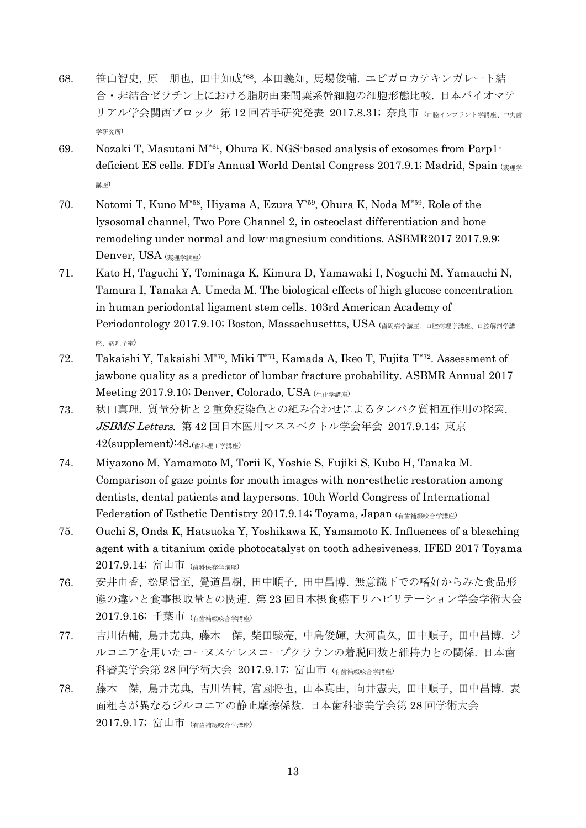- 68. 笹山智史, 原 朋也, 田中知成\*68 , 本田義知, 馬場俊輔. エピガロカテキンガレート結 合・非結合ゼラチン上における脂肪由来間葉系幹細胞の細胞形態比較. 日本バイオマテ リアル学会関西ブロック 第12回若手研究発表 2017.8.31; 奈良市 (ロ腔インプラント学講座、中央歯 学研究所)
- 69. Nozaki T, Masutani M\*61 , Ohura K. NGS-based analysis of exosomes from Parp1 deficient ES cells. FDI's Annual World Dental Congress 2017.9.1; Madrid, Spain (薬理学 講座)
- 70. Notomi T, Kuno M\*58, Hiyama A, Ezura Y\*59, Ohura K, Noda M\*59. Role of the lysosomal channel, Two Pore Channel 2, in osteoclast differentiation and bone remodeling under normal and low-magnesium conditions. ASBMR2017 2017.9.9; Denver, USA (<sub>夢理学講座</sub>)
- 71. Kato H, Taguchi Y, Tominaga K, Kimura D, Yamawaki I, Noguchi M, Yamauchi N, Tamura I, Tanaka A, Umeda M. The biological effects of high glucose concentration in human periodontal ligament stem cells. 103rd American Academy of Periodontology 2017.9.10; Boston, Massachusettts, USA (歯周病学講座、口腔病理学講座、口腔解剖学講 座、病理学室)
- 72. Takaishi Y, Takaishi M\*70 , Miki T\*71 , Kamada A, Ikeo T, Fujita T\*72 . Assessment of jawbone quality as a predictor of lumbar fracture probability. ASBMR Annual 2017 Meeting 2017.9.10; Denver, Colorado, USA  $(44.42 \times 10^{-4})$
- 73. 秋山真理. 質量分析と2重免疫染色との組み合わせによるタンパク質相互作用の探索. JSBMS Letters. 第 42 回日本医用マススペクトル学会年会 2017.9.14; 東京  $42$ (supplement): $48.$ (<sub>歯科理工学講座</sub>)
- 74. Miyazono M, Yamamoto M, Torii K, Yoshie S, Fujiki S, Kubo H, Tanaka M. Comparison of gaze points for mouth images with non-esthetic restoration among dentists, dental patients and laypersons. 10th World Congress of International Federation of Esthetic Dentistry 2017.9.14; Toyama, Japan (有歯補綴咬合学講座)
- 75. Ouchi S, Onda K, Hatsuoka Y, Yoshikawa K, Yamamoto K. Influences of a bleaching agent with a titanium oxide photocatalyst on tooth adhesiveness. IFED 2017 Toyama 2017.9.14; 富山市 (歯科保存学講座)
- 76. 安井由香, 松尾信至, 覺道昌樹, 田中順子, 田中昌博. 無意識下での嗜好からみた食品形 態の違いと食事摂取量との関連. 第 23 回日本摂食嚥下リハビリテーション学会学術大会 2017.9.16; 千葉市 (有歯補綴咬合学講座)
- 77. 吉川佑輔, 鳥井克典, 藤木 傑, 柴田駿亮, 中島俊輝, 大河貴久, 田中順子, 田中昌博. ジ ルコニアを用いたコーヌステレスコープクラウンの着脱回数と維持力との関係. 日本歯 科審美学会第 28 回学術大会 2017.9.17; 富山市 (有歯補綴咬合学講座)
- 78. 藤木 傑, 鳥井克典, 吉川佑輔, 宮園将也, 山本真由, 向井憲夫, 田中順子, 田中昌博. 表 面粗さが異なるジルコニアの静止摩擦係数. 日本歯科審美学会第 28 回学術大会 2017.9.17; 富山市 (有歯補綴咬合学講座)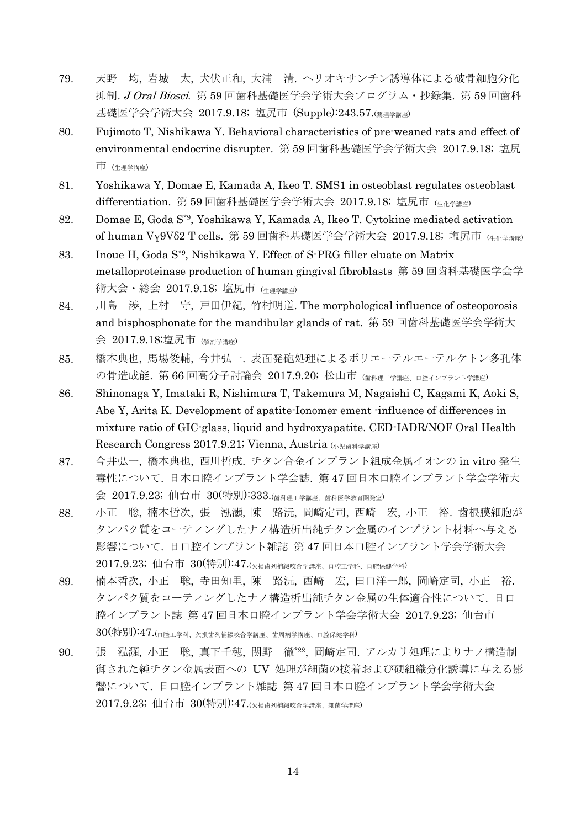- 79. 天野 均, 岩城 太, 犬伏正和, 大浦 清. ヘリオキサンチン誘導体による破骨細胞分化 抑制. J Oral Biosci. 第59回歯科基礎医学会学術大会プログラム·抄録集. 第59回歯科 基礎医学会学術大会 2017.9.18; 塩尻市 (Supple):243.57.(薬理学講座)
- 80. Fujimoto T, Nishikawa Y. Behavioral characteristics of pre-weaned rats and effect of environmental endocrine disrupter. 第 59 回歯科基礎医学会学術大会 2017.9.18; 塩尻 市 (生理学講座)
- 81. Yoshikawa Y, Domae E, Kamada A, Ikeo T. SMS1 in osteoblast regulates osteoblast differentiation. 第 59 回歯科基礎医学会学術大会 2017.9.18; 塩尻市 (生化学講座)
- 82. Domae E, Goda S\*9, Yoshikawa Y, Kamada A, Ikeo T. Cytokine mediated activation of human Vγ9Vδ2 T cells. 第 59 回歯科基礎医学会学術大会 2017.9.18; 塩尻市 (生化学講座)
- 83. Inoue H, Goda S\*9, Nishikawa Y. Effect of S-PRG filler eluate on Matrix metalloproteinase production of human gingival fibroblasts 第 59 回歯科基礎医学会学 術大会・総会 2017.9.18; 塩尻市 (生理学講座)
- 84. 川島 渉, 上村 守, 戸田伊紀, 竹村明道. The morphological influence of osteoporosis and bisphosphonate for the mandibular glands of rat. 第 59 回歯科基礎医学会学術大 会 2017.9.18;塩尻市 (解剖学講座)
- 85. 橋本典也, 馬場俊輔, 今井弘一. 表面発砲処理によるポリエーテルエーテルケトン多孔体 の骨造成能. 第66回高分子討論会 2017.9.20; 松山市 (歯科理工学講座、ロ腔インプラント学講座)
- 86. Shinonaga Y, Imataki R, Nishimura T, Takemura M, Nagaishi C, Kagami K, Aoki S, Abe Y, Arita K. Development of apatite-Ionomer ement -influence of differences in mixture ratio of GIC-glass, liquid and hydroxyapatite. CED-IADR/NOF Oral Health Research Congress 2017.9.21; Vienna, Austria (小児歯科学講座)
- 87. 今井弘一, 橋本典也, 西川哲成. チタン合金インプラント組成金属イオンの in vitro 発生 毒性について. 日本口腔インプラント学会誌. 第 47 回日本口腔インプラント学会学術大 会 2017.9.23; 仙台市 30(特別):333.(歯科理工学講座、歯科医学教育開発室)
- 88. 小正 聡, 楠本哲次, 張 泓灝, 陳 路沅, 岡崎定司, 西崎 宏, 小正 裕. 歯根膜細胞が タンパク質をコーティングしたナノ構造析出純チタン金属のインプラント材料へ与える 影響について. 日口腔インプラント雑誌 第 47 回日本口腔インプラント学会学術大会 2017.9.23; 仙台市 30(特別):47. $(x_{\text{H}_{\text{B}}}\bar{y}_{\text{H}})$ 補綴咬合学講座、口腔工学科、口腔保健学科)
- 89. 楠本哲次, 小正 聡, 寺田知里, 陳 路沅, 西崎 宏, 田口洋一郎, 岡崎定司, 小正 裕. タンパク質をコーティングしたナノ構造析出純チタン金属の生体適合性について. 日口 腔インプラント誌 第 47 回日本口腔インプラント学会学術大会 2017.9.23; 仙台市 30(特別):47.(口腔工学科、欠損歯列補綴咬合学講座、歯周病学講座、口腔保健学科)
- 90. 張 泓灝, 小正 聡, 真下千穂, 関野 徹\*22 , 岡崎定司. アルカリ処理によりナノ構造制 御された純チタン金属表面への UV 処理が細菌の接着および硬組織分化誘導に与える影 響について. 日口腔インプラント雑誌 第 47 回日本口腔インプラント学会学術大会 2017.9.23; 仙台市 30(特別):47.(欠損歯列補綴咬合学講座、細菌学講座)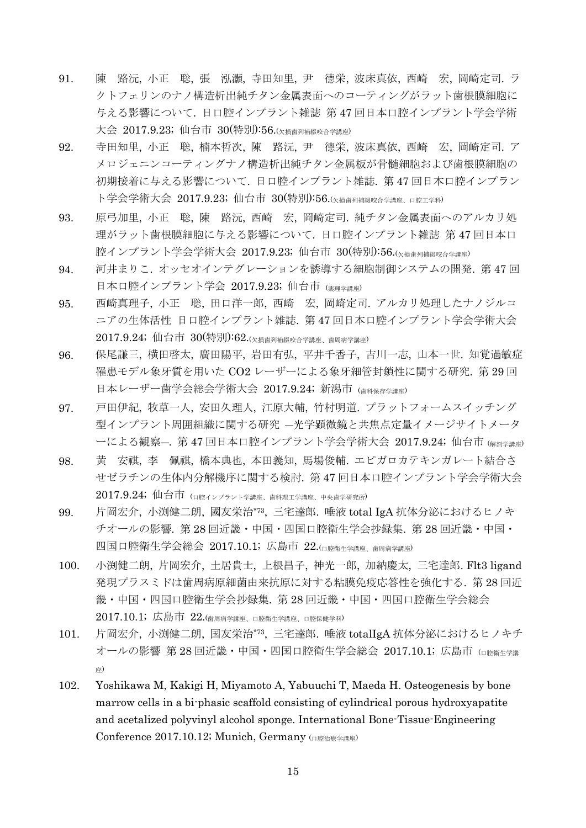- 91. 陳 路沅, 小正 聡, 張 泓灝, 寺田知里, 尹 德栄, 波床真依, 西崎 宏, 岡崎定司. ラ クトフェリンのナノ構造析出純チタン金属表面へのコーティングがラット歯根膜細胞に 与える影響について. 日口腔インプラント雑誌 第 47 回日本口腔インプラント学会学術 大会 2017.9.23; 仙台市 30(特別):56.(欠損歯列補綴咬合学講座)
- 92. 寺田知里, 小正 聡, 楠本哲次, 陳 路沅, 尹 德栄, 波床真依, 西崎 宏, 岡崎定司. ア メロジェニンコーティングナノ構造析出純チタン金属板が骨髄細胞および歯根膜細胞の 初期接着に与える影響について. 日口腔インプラント雑誌. 第 47 回日本口腔インプラン ト学会学術大会 2017.9.23; 仙台市 30(特別):56. $(y_{\text{##all}}$ #綴咬合学講座、口腔工学科)
- 93. 原弓加里, 小正 聡, 陳 路沅, 西崎 宏, 岡崎定司. 純チタン金属表面へのアルカリ処 理がラット歯根膜細胞に与える影響について. 日口腔インプラント雑誌 第 47 回日本口 腔インプラント学会学術大会 2017.9.23; 仙台市 30(特別):56.(欠損歯列補綴咬合学講座)
- 94. 河井まりこ. オッセオインテグレーションを誘導する細胞制御システムの開発. 第 47 回 日本口腔インプラント学会 2017.9.23; 仙台市 (薬理学講座)
- 95. 西崎真理子, 小正 聡, 田口洋一郎, 西崎 宏, 岡崎定司. アルカリ処理したナノジルコ ニアの生体活性 日口腔インプラント雑誌. 第 47 回日本口腔インプラント学会学術大会 2017.9.24; 仙台市 30(特別):62.(欠損歯列補綴咬合学講座、歯周病学講座)
- 96. 保尾謙三, 横田啓太, 廣田陽平, 岩田有弘, 平井千香子, 吉川一志, 山本一世. 知覚過敏症 罹患モデル象牙質を用いた CO2 レーザーによる象牙細管封鎖性に関する研究. 第 29 回 日本レーザー歯学会総会学術大会 2017.9.24; 新潟市 (歯科保存学講座)
- 97. 戸田伊紀, 牧草一人, 安田久理人, 江原大輔, 竹村明道. プラットフォームスイッチング 型インプラント周囲組織に関する研究 ―光学顕微鏡と共焦点定量イメージサイトメータ ーによる観察―. 第 47 回日本口腔インプラント学会学術大会 2017.9.24; 仙台市 (解剖学講座)
- 98. 黄 安祺, 李 佩祺, 橋本典也, 本田義知, 馬場俊輔. エピガロカテキンガレート結合さ せゼラチンの生体内分解機序に関する検討. 第 47 回日本口腔インプラント学会学術大会  $2017.9.24$ ; 仙台市  $(n_{R\text{H}}/2)$ テント学講座、歯科理工学講座、中央歯学研究所)
- 99. 片岡宏介, 小渕健二朗, 國友栄治\*73 , 三宅達郎. 唾液 total IgA 抗体分泌におけるヒノキ チオールの影響. 第 28 回近畿・中国・四国口腔衛生学会抄録集. 第 28 回近畿・中国・ 四国口腔衛生学会総会 2017.10.1; 広島市 22.(口腔衛生学講座、歯周病学講座)
- 100. 小渕健二朗, 片岡宏介, 土居貴士, 上根昌子, 神光一郎, 加納慶太, 三宅達郎. Flt3 ligand 発現プラスミドは歯周病原細菌由来抗原に対する粘膜免疫応答性を強化する. 第 28 回近 畿・中国・四国口腔衛生学会抄録集. 第 28 回近畿・中国・四国口腔衛生学会総会  $2017.10.1$ ; 広島市  $22.$ (歯周病学講座、口腔衛生学講座、口腔保健学科)
- 101. 片岡宏介, 小渕健二朗, 国友栄治\*73 , 三宅達郎. 唾液 totalIgA 抗体分泌におけるヒノキチ オールの影響 第 28 回近畿・中国・四国口腔衛生学会総会 2017.10.1; 広島市 (ロ腔衛生学講 座)
- 102. Yoshikawa M, Kakigi H, Miyamoto A, Yabuuchi T, Maeda H. Osteogenesis by bone marrow cells in a bi-phasic scaffold consisting of cylindrical porous hydroxyapatite and acetalized polyvinyl alcohol sponge. International Bone-Tissue-Engineering Conference 2017.10.12; Munich, Germany (口腔治療学講座)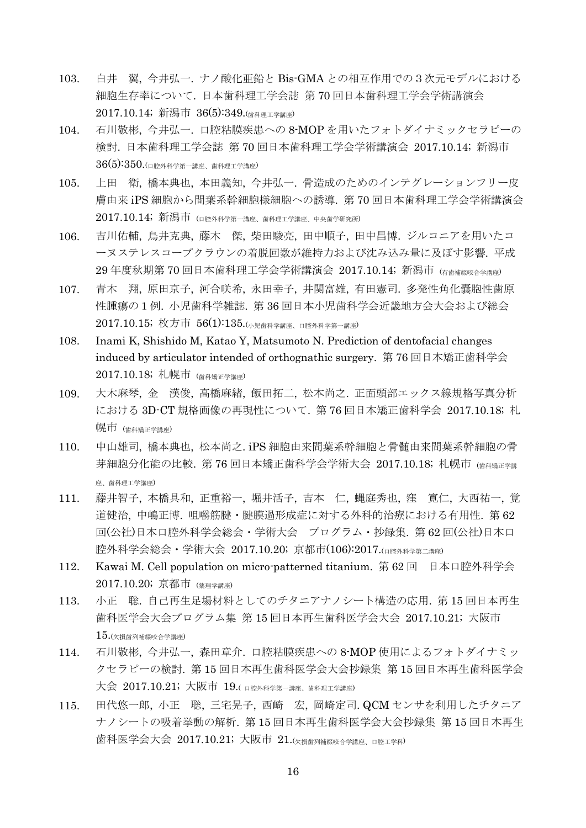- 103. 白井 翼, 今井弘一. ナノ酸化亜鉛と Bis-GMA との相互作用での3次元モデルにおける 細胞生存率について. 日本歯科理工学会誌 第 70 回日本歯科理工学会学術講演会 2017.10.14; 新潟市 36(5):349.(歯科理工学講座)
- 104. 石川敬彬, 今井弘一. 口腔粘膜疾患への 8-MOP を用いたフォトダイナミックセラピーの 検討. 日本歯科理工学会誌 第 70 回日本歯科理工学会学術講演会 2017.10.14; 新潟市  $36(5)$ :350.(口腔外科学第一講座、歯科理工学講座)
- 105. 上田 衛, 橋本典也, 本田義知, 今井弘一. 骨造成のためのインテグレーションフリー皮 膚由来 iPS 細胞から間葉系幹細胞様細胞への誘導. 第 70 回日本歯科理工学会学術講演会  $2017.10.14$ ; 新潟市 ( $\alpha_{R}$ 外科学第一講座、歯科理工学講座、中央歯学研究所)
- 106. 吉川佑輔, 鳥井克典, 藤木 傑, 柴田駿亮, 田中順子, 田中昌博. ジルコニアを用いたコ ーヌステレスコープクラウンの着脱回数が維持力および沈み込み量に及ぼす影響. 平成 29 年度秋期第 70 回日本歯科理工学会学術講演会 2017.10.14; 新潟市 (有歯補綴咬合業庫)
- 107. 青木 翔, 原田京子, 河合咲希, 永田幸子, 井関富雄, 有田憲司. 多発性角化嚢胞性歯原 性腫瘍の1例. 小児歯科学雑誌. 第 36 回日本小児歯科学会近畿地方会大会および総会 2017.10.15; 枚方市 56(1):135.(小児歯科学講座、口腔外科学第一講座)
- 108. Inami K, Shishido M, Katao Y, Matsumoto N. Prediction of dentofacial changes induced by articulator intended of orthognathic surgery. 第 76 回日本矯正歯科学会 2017.10.18; 札幌市 (歯科矯正学講座)
- 109. 大木麻琴, 金 漢俊, 高橋麻緒, 飯田拓二, 松本尚之. 正面頭部エックス線規格写真分析 における 3D-CT 規格画像の再現性について. 第 76 回日本矯正歯科学会 2017.10.18; 札 幌市 (歯科矯正学講座)
- 110. 中山雄司, 橋本典也, 松本尚之. iPS 細胞由来間葉系幹細胞と骨髄由来間葉系幹細胞の骨 芽細胞分化能の比較. 第 76回日本矯正歯科学会学術大会 2017.10.18; 札幌市 (歯科矯正学講 座、歯科理工学講座)
- 111. 藤井智子, 本橋具和, 正重裕一, 堀井活子, 吉本 仁, 蝿庭秀也, 窪 寛仁, 大西祐一, 覚 道健治, 中嶋正博. 咀嚼筋腱・腱膜過形成症に対する外科的治療における有用性. 第 62 回(公社)日本口腔外科学会総会・学術大会 プログラム・抄録集. 第 62 回(公社)日本口 腔外科学会総会・学術大会 2017.10.20; 京都市(106):2017.(口腔外科学第二講座)
- 112. Kawai M. Cell population on micro-patterned titanium. 第 62 回 日本口腔外科学会 2017.10.20; 京都市 (薬理学講座)
- 113. 小正 聡. 自己再生足場材料としてのチタニアナノシート構造の応用. 第 15 回日本再生 歯科医学会大会プログラム集 第 15 回日本再生歯科医学会大会 2017.10.21; 大阪市  $15.$ (欠損歯列補綴咬合学講座)
- 114. 石川敬彬, 今井弘一, 森田章介. 口腔粘膜疾患への 8-MOP 使用によるフォトダイナミッ クセラピーの検討. 第 15 回日本再生歯科医学会大会抄録集 第 15 回日本再生歯科医学会 大会 2017.10.21; 大阪市 19.( ロ腔外科学第一講座、歯科理工学講座)
- 115. 田代悠一郎, 小正 聡, 三宅晃子, 西崎 宏, 岡崎定司. QCM センサを利用したチタニア ナノシートの吸着挙動の解析. 第 15 回日本再生歯科医学会大会抄録集 第 15 回日本再生 歯科医学会大会 2017.10.21; 大阪市 21.(欠損歯列補綴咬合学講座、口腔工学科)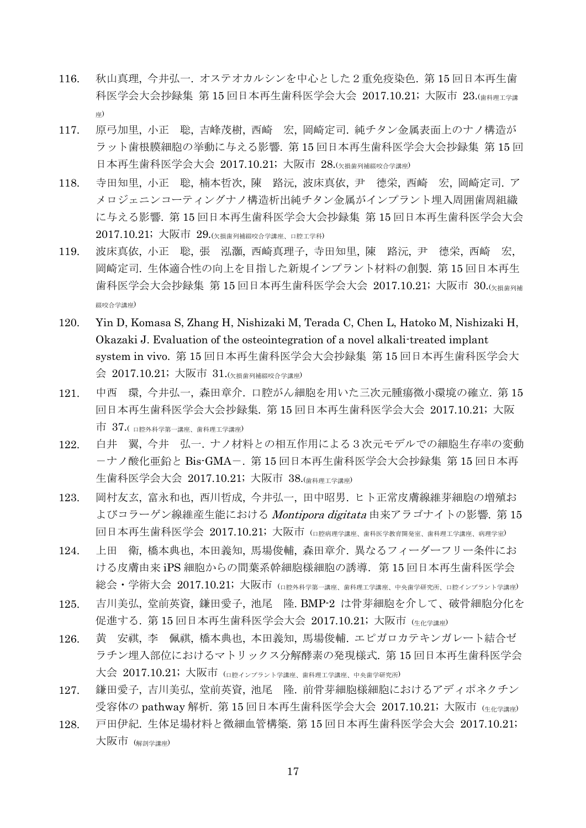- 116. 秋山真理, 今井弘一. オステオカルシンを中心とした2重免疫染色. 第 15 回日本再生歯 科医学会大会抄録集 第 15 回日本再生歯科医学会大会 2017.10.21; 大阪市 23.(歯科理工学講 座)
- 117. 原弓加里, 小正 聡, 吉峰茂樹, 西崎 宏, 岡崎定司. 純チタン金属表面上のナノ構造が ラット歯根膜細胞の挙動に与える影響. 第 15 回日本再生歯科医学会大会抄録集 第 15 回 日本再生歯科医学会大会 2017.10.21; 大阪市 28.(欠損歯列補綴咬合学講座)
- 118. 寺田知里, 小正 聡, 楠本哲次, 陳 路沅, 波床真依, 尹 德栄, 西崎 宏, 岡崎定司. ア メロジェニンコーティングナノ構造析出純チタン金属がインプラント埋入周囲歯周組織 に与える影響. 第 15 回日本再生歯科医学会大会抄録集 第 15 回日本再生歯科医学会大会 2017.10.21; 大阪市 29.(欠損歯列補綴咬合学講座、口腔工学科)
- 119. 波床真依, 小正 聡, 張 泓灝, 西崎真理子, 寺田知里, 陳 路沅, 尹 德栄, 西崎 宏, 岡崎定司. 生体適合性の向上を目指した新規インプラント材料の創製. 第 15 回日本再生 歯科医学会大会抄録集 第 15 回日本再生歯科医学会大会 2017.10.21; 大阪市 30.(<sub>欠損歯列補</sub> 綴咬合学講座)
- 120. Yin D, Komasa S, Zhang H, Nishizaki M, Terada C, Chen L, Hatoko M, Nishizaki H, Okazaki J. Evaluation of the osteointegration of a novel alkali-treated implant system in vivo. 第 15 回日本再生歯科医学会大会抄録集 第 15 回日本再生歯科医学会大 会 2017.10.21; 大阪市 31.(欠損歯列補綴咬合学講座)
- 121. 中西 環, 今井弘一, 森田章介. 口腔がん細胞を用いた三次元腫瘍微小環境の確立. 第 15 回日本再生歯科医学会大会抄録集. 第 15 回日本再生歯科医学会大会 2017.10.21; 大阪  $\pm$  37.(  $\pm$   $\mathbb{R}^{p}$ 外科学第一講座、歯科理工学講座)
- 122. 白井 翼, 今井 弘一. ナノ材料との相互作用による3次元モデルでの細胞生存率の変動 -ナノ酸化亜鉛と Bis-GMA-. 第 15 回日本再生歯科医学会大会抄録集 第 15 回日本再 生歯科医学会大会 2017.10.21; 大阪市 38.(歯科理工学講座)
- 123. 岡村友玄, 富永和也, 西川哲成, 今井弘一, 田中昭男. ヒト正常皮膚線維芽細胞の増殖お よびコラーゲン線維産生能における Montipora digitata 由来アラゴナイトの影響. 第15 回日本再生歯科医学会 2017.10.21; 大阪市 (口腔病理学講座、歯科医学教育開発室、歯科理工学講座、病理学室)
- 124. 上田 衛, 橋本典也, 本田義知, 馬場俊輔, 森田章介. 異なるフィーダーフリー条件にお ける皮膚由来 iPS 細胞からの間葉系幹細胞様細胞の誘導. 第15回日本再生歯科医学会 総会・学術大会 2017.10.21;大阪市 (□腔外科学第一講座、歯科理工学講座、中央歯学研究所、口腔インプラント学講座)
- 125. 吉川美弘, 堂前英資, 鎌田愛子, 池尾 隆. BMP-2 は骨芽細胞を介して、破骨細胞分化を 促進する. 第15回日本再生歯科医学会大会 2017.10.21; 大阪市 (生化学講座)
- 126. 黄 安祺, 李 佩祺, 橋本典也, 本田義知, 馬場俊輔. エピガロカテキンガレート結合ゼ ラチン埋入部位におけるマトリックス分解酵素の発現様式. 第 15 回日本再生歯科医学会 大会 2017.10.21; 大阪市 (ロ腔インプラント学講座、歯科理工学講座、中央歯学研究所)
- 127. 鎌田愛子, 吉川美弘, 堂前英資, 池尾 隆. 前骨芽細胞様細胞におけるアディポネクチン 受容体の pathway 解析. 第 15 回日本再生歯科医学会大会 2017.10.21; 大阪市  $(4+\epsilon)^{2}$ 講座)
- 128. 戸田伊紀. 生体足場材料と微細血管構築. 第 15 回日本再生歯科医学会大会 2017.10.21; 大阪市 (解剖学講座)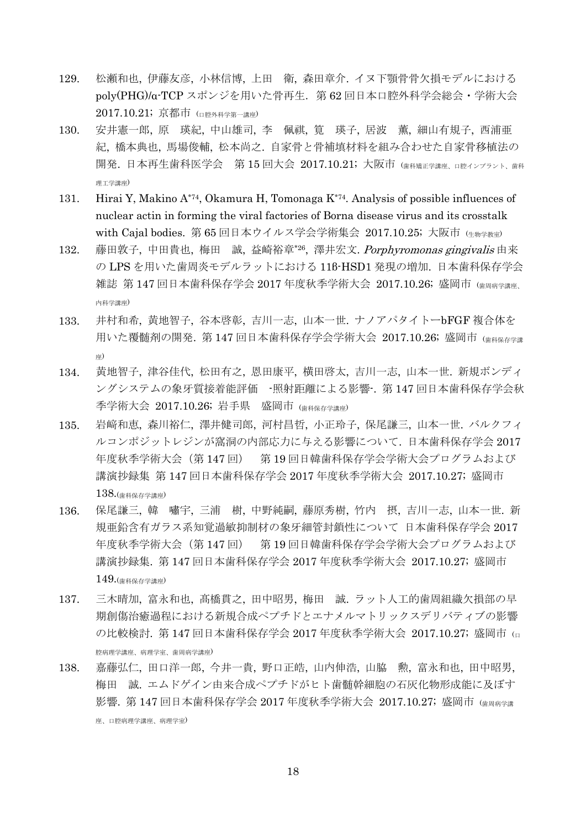- 129. 松瀬和也, 伊藤友彦, 小林信博, 上田 衛, 森田章介. イヌ下顎骨骨欠損モデルにおける poly(PHG)/α-TCP スポンジを用いた骨再生.第 62 回日本口腔外科学会総会・学術大会 2017.10.21; 京都市 (口腔外科学第一講座)
- 130. 安井憲一郎, 原 瑛紀, 中山雄司, 李 佩祺, 筧 瑛子, 居波 薫, 細山有規子, 西浦亜 紀, 橋本典也, 馬場俊輔, 松本尚之. 自家骨と骨補填材料を組み合わせた自家骨移植法の 開発. 日本再生歯科医学会 第 15 回大会 2017.10.21; 大阪市 (歯科矯正学講座, ロ腔インブラント、歯科 理工学講座)
- 131. Hirai Y, Makino A\*74, Okamura H, Tomonaga K<sup>\*74</sup>. Analysis of possible influences of nuclear actin in forming the viral factories of Borna disease virus and its crosstalk with Cajal bodies. 第 65 回日本ウイルス学会学術集会 2017.10.25; 大阪市 (牛物学教室)
- 132. 藤田敦子,中田貴也,梅田 誠,益崎裕章\*26,澤井宏文. Porphyromonas gingivalis 由来 の LPS を用いた歯周炎モデルラットにおける 11β-HSD1 発現の増加. 日本歯科保存学会 雑誌 第 147 回日本歯科保存学会 2017 年度秋季学術大会 2017.10.26; 盛岡市 (歯周病学講座、 内科学講座)
- 133. 井村和希, 黄地智子, 谷本啓彰, 吉川一志, 山本一世. ナノアパタイトーbFGF 複合体を 用いた覆髄剤の開発. 第147回日本歯科保存学会学術大会 2017.10.26; 盛岡市 (歯科保存学講 座)
- 134. 黄地智子, 津谷佳代, 松田有之, 恩田康平, 横田啓太, 吉川一志, 山本一世. 新規ボンディ ングシステムの象牙質接着能評価 -照射距離による影響-. 第 147 回日本歯科保存学会秋 季学術大会 2017.10.26; 岩手県 盛岡市 (歯科保存学講座)
- 135. 岩﨑和恵, 森川裕仁, 澤井健司郎, 河村昌哲, 小正玲子, 保尾謙三, 山本一世. バルクフィ ルコンポジットレジンが窩洞の内部応力に与える影響について. 日本歯科保存学会 2017 年度秋季学術大会(第 147 回) 第 19 回日韓歯科保存学会学術大会プログラムおよび 講演抄録集 第 147 回日本歯科保存学会 2017 年度秋季学術大会 2017.10.27; 盛岡市 138.(歯科保存学講座)
- 136. 保尾謙三, 韓 嘯宇, 三浦 樹, 中野純嗣, 藤原秀樹, 竹内 摂, 吉川一志, 山本一世. 新 規亜鉛含有ガラス系知覚過敏抑制材の象牙細管封鎖性について 日本歯科保存学会 2017 年度秋季学術大会(第 147 回) 第 19 回日韓歯科保存学会学術大会プログラムおよび 講演抄録集. 第 147 回日本歯科保存学会 2017 年度秋季学術大会 2017.10.27; 盛岡市 149.(歯科保存学講座)
- 137. 三木晴加, 富永和也, 髙橋貫之, 田中昭男, 梅田 誠. ラット人工的歯周組織欠損部の早 期創傷治癒過程における新規合成ペプチドとエナメルマトリックスデリバティブの影響 の比較検討. 第 147 回日本歯科保存学会 2017 年度秋季学術大会 2017.10.27; 盛岡市 (□ 腔病理学講座、病理学室、歯周病学講座)
- 138. 嘉藤弘仁, 田口洋一郎, 今井一貴, 野口正皓, 山内伸浩, 山脇 勲, 富永和也, 田中昭男, 梅田 誠. エムドゲイン由来合成ペプチドがヒト歯髄幹細胞の石灰化物形成能に及ぼす 影響. 第 147 回日本歯科保存学会 2017 年度秋季学術大会 2017.10.27; 盛岡市 (歯周病学講 座、口腔病理学講座、病理学室)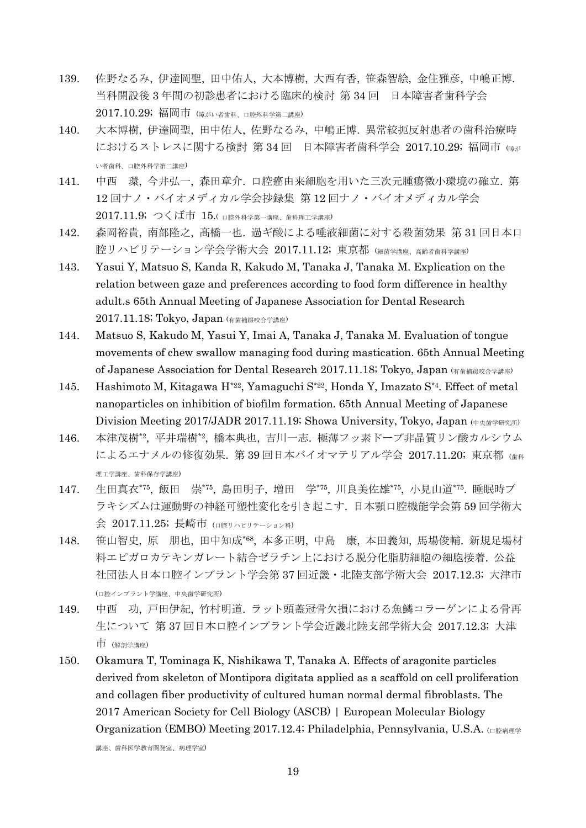- 139. 佐野なるみ, 伊達岡聖, 田中佑人, 大本博樹, 大西有香, 笹森智絵, 金住雅彦, 中嶋正博. 当科開設後 3 年間の初診患者における臨床的検討 第 34 回 日本障害者歯科学会 2017.10.29; 福岡市 (障がい者歯科、口腔外科学第二講座)
- 140. 大本博樹, 伊達岡聖, 田中佑人, 佐野なるみ, 中嶋正博. 異常絞扼反射患者の歯科治療時 におけるストレスに関する検討 第 34 回 日本障害者歯科学会 2017.10.29; 福岡市 (障が い者歯科、口腔外科学第二講座)
- 141. 中西 環, 今井弘一, 森田章介. 口腔癌由来細胞を用いた三次元腫瘍微小環境の確立. 第 12 回ナノ・バイオメディカル学会抄録集 第 12 回ナノ・バイオメディカル学会 2017.11.9; つくば市 15.( 口腔外科学第一講座、歯科理工学講座)
- 142. 森岡裕貴, 南部隆之, 髙橋一也. 過ギ酸による唾液細菌に対する殺菌効果 第 31 回日本口 腔リハビリテーション学会学術大会 2017.11.12; 東京都 (細菌学講座、高齢者歯科学講座)
- 143. Yasui Y, Matsuo S, Kanda R, Kakudo M, Tanaka J, Tanaka M. Explication on the relation between gaze and preferences according to food form difference in healthy adult.s 65th Annual Meeting of Japanese Association for Dental Research 2017.11.18; Tokyo, Japan (有歯補綴咬合学講座)
- 144. Matsuo S, Kakudo M, Yasui Y, Imai A, Tanaka J, Tanaka M. Evaluation of tongue movements of chew swallow managing food during mastication. 65th Annual Meeting of Japanese Association for Dental Research 2017.11.18; Tokyo, Japan (有歯補綴咬合学講座)
- 145. Hashimoto M, Kitagawa H\*22, Yamaguchi S\*22, Honda Y, Imazato S\*4. Effect of metal nanoparticles on inhibition of biofilm formation. 65th Annual Meeting of Japanese Division Meeting 2017/JADR 2017.11.19; Showa University, Tokyo, Japan (中央歯学研究所)
- 146. 本津茂樹\*2 , 平井瑞樹\*2 , 橋本典也, 吉川一志. 極薄フッ素ドープ非晶質リン酸カルシウム によるエナメルの修復効果. 第 39 回日本バイオマテリアル学会 2017.11.20; 東京都 (歯科 理工学講座、歯科保存学講座)
- 147. 生田真衣\*75 , 飯田 崇\*75 , 島田明子, 増田 学\*75 , 川良美佐雄\*75 , 小見山道\*75 . 睡眠時ブ ラキシズムは運動野の神経可塑性変化を引き起こす. 日本顎口腔機能学会第 59 回学術大 会 2017.11.25; 長崎市 (口腔リハビリテーション科)
- 148. 笹山智史, 原 朋也, 田中知成\*68 , 本多正明, 中島 康, 本田義知, 馬場俊輔. 新規足場材 料エピガロカテキンガレート結合ゼラチン上における脱分化脂肪細胞の細胞接着. 公益 社団法人日本口腔インプラント学会第 37 回近畿・北陸支部学術大会 2017.12.3; 大津市 (口腔インプラント学講座、中央歯学研究所)
- 149. 中西 功, 戸田伊紀, 竹村明道. ラット頭蓋冠骨欠損における魚鱗コラーゲンによる骨再 生について 第 37 回日本口腔インプラント学会近畿北陸支部学術大会 2017.12.3; 大津 市 (解剖学講座)
- 150. Okamura T, Tominaga K, Nishikawa T, Tanaka A. Effects of aragonite particles derived from skeleton of Montipora digitata applied as a scaffold on cell proliferation and collagen fiber productivity of cultured human normal dermal fibroblasts. The 2017 American Society for Cell Biology (ASCB) | European Molecular Biology Organization (EMBO) Meeting 2017.12.4; Philadelphia, Pennsylvania, U.S.A. (

講座、歯科医学教育開発室、病理学室)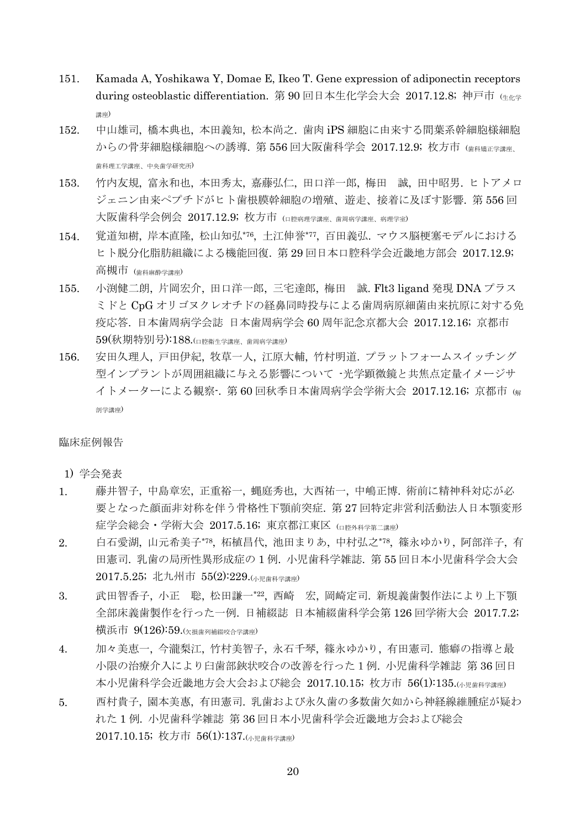- 151. Kamada A, Yoshikawa Y, Domae E, Ikeo T. Gene expression of adiponectin receptors during osteoblastic differentiation. 第 90 回日本生化学会大会 2017.12.8; 神戸市 (生化学 講座)
- 152. 中山雄司, 橋本典也, 本田義知, 松本尚之. 歯肉 iPS 細胞に由来する間葉系幹細胞様細胞 からの骨芽細胞様細胞への誘導. 第 556 回大阪歯科学会 2017.12.9; 枚方市 (歯科矯正学講座、 歯科理工学講座、中央歯学研究所)
- 153. 竹内友規, 富永和也, 本田秀太, 嘉藤弘仁, 田口洋一郎, 梅田 誠, 田中昭男. ヒトアメロ ジェニン由来ペプチドがヒト歯根膜幹細胞の増殖、遊走、接着に及ぼす影響. 第 556 回 大阪歯科学会例会 2017.12.9; 枚方市 (口腔病理学講座、歯周病学講座、病理学室)
- 154. 覚道知樹, 岸本直隆, 松山知弘\*76 , 土江伸誉\*77 , 百田義弘. マウス脳梗塞モデルにおける ヒト脱分化脂肪組織による機能回復. 第 29 回日本口腔科学会近畿地方部会 2017.12.9; 高槻市 (歯科麻酔学講座)
- 155. 小渕健二朗, 片岡宏介, 田口洋一郎, 三宅達郎, 梅田 誠. Flt3 ligand 発現 DNA プラス ミドと CpG オリゴヌクレオチドの経鼻同時投与による歯周病原細菌由来抗原に対する免 疫応答. 日本歯周病学会誌 日本歯周病学会 60 周年記念京都大会 2017.12.16; 京都市 59(秋期特別号):188.(口腔衛生学講座、歯周病学講座)
- 156. 安田久理人, 戸田伊紀, 牧草一人, 江原大輔, 竹村明道. プラットフォームスイッチング 型インプラントが周囲組織に与える影響について -光学顕微鏡と共焦点定量イメージサ イトメーターによる観察-. 第 60 回秋季日本歯周病学会学術大会 2017.12.16; 京都市 (<sup>解</sup> 剖学講座)

#### 臨床症例報告

- 1) 学会発表
- 1. 藤井智子, 中島章宏, 正重裕一, 蝿庭秀也, 大西祐一, 中嶋正博. 術前に精神科対応が必 要となった顔面非対称を伴う骨格性下顎前突症. 第 27 回特定非営利活動法人日本顎変形 症学会総会・学術大会 2017.5.16; 東京都江東区 (口腔外科学第二講座)
- 2. 白石愛湖, 山元希美子\*78 , 柘植昌代, 池田まりあ, 中村弘之\*78 , 篠永ゆかり, 阿部洋子, 有 田憲司. 乳歯の局所性異形成症の 1 例. 小児歯科学雑誌. 第 55 回日本小児歯科学会大会 2017.5.25; 北九州市 55(2):229.(小児歯科学講座)
- 3. 武田智香子, 小正 聡, 松田謙一\*22 , 西崎 宏, 岡崎定司. 新規義歯製作法により上下顎 全部床義歯製作を行った一例. 日補綴誌 日本補綴歯科学会第 126 回学術大会 2017.7.2; 横浜市  $9(126)$ :59. $\left(\frac{1}{K} + \frac{1}{K}\right)$   $\frac{1}{K}$   $\frac{1}{K}$   $\frac{1}{K}$   $\frac{1}{K}$   $\frac{1}{K}$   $\frac{1}{K}$   $\frac{1}{K}$   $\frac{1}{K}$   $\frac{1}{K}$   $\frac{1}{K}$   $\frac{1}{K}$   $\frac{1}{K}$   $\frac{1}{K}$   $\frac{1}{K}$   $\frac{1}{K}$   $\frac{1}{K}$   $\frac{1}{K}$   $\frac{1}{K}$   $\frac$
- 4. 加々美恵一, 今瀧梨江, 竹村美智子, 永石千琴, 篠永ゆかり, 有田憲司. 態癖の指導と最 小限の治療介入により臼歯部鋏状咬合の改善を行った1例. 小児歯科学雑誌 第 36 回日 本小児歯科学会近畿地方会大会および総会 2017.10.15; 枚方市 56(1):135.(小児歯科学講座)
- 5. 西村貴子, 園本美惠, 有田憲司. 乳歯および永久歯の多数歯欠如から神経線維腫症が疑わ れた 1 例. 小児歯科学雑誌 第 36 回日本小児歯科学会近畿地方会および総会 2017.10.15; 枚方市 56(1):137.(小児歯科学講座)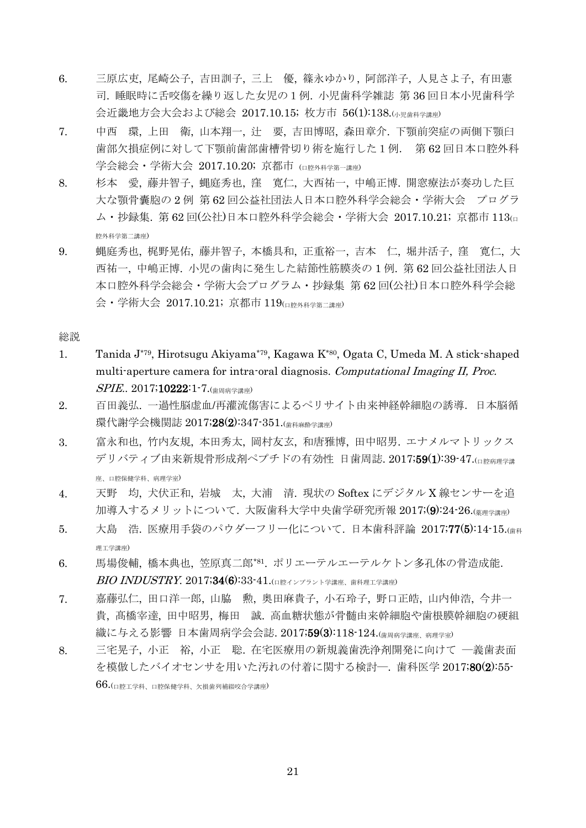- 6. 三原広吏, 尾崎公子, 吉田訓子, 三上 優, 篠永ゆかり, 阿部洋子, 人見さよ子, 有田憲 司. 睡眠時に舌咬傷を繰り返した女児の1例. 小児歯科学雑誌 第 36 回日本小児歯科学 会近畿地方会大会および総会 2017.10.15; 枚方市 56(1):138.(小児歯科学講座)
- 7. 中西 環, 上田 衛, 山本翔一, 辻 要, 吉田博昭, 森田章介. 下顎前突症の両側下顎臼 歯部欠損症例に対して下顎前歯部歯槽骨切り術を施行した1例. 第 62 回日本口腔外科 学会総会・学術大会 2017.10.20; 京都市 (ロ腔外科学第一講座)
- 8. 杉本 愛, 藤井智子, 蝿庭秀也, 窪 寛仁, 大西祐一, 中嶋正博. 開窓療法が奏功した巨 大な顎骨囊胞の 2 例 第 62 回公益社団法人日本口腔外科学会総会・学術大会 プログラ ム・抄録集. 第 62 回(公社)日本口腔外科学会総会・学術大会 2017.10.21; 京都市 113(<sup>口</sup> 腔外科学第二講座)
- 9. 蝿庭秀也, 梶野晃佑, 藤井智子, 本橋具和, 正重裕一, 吉本 仁, 堀井活子, 窪 寛仁, 大 西祐一, 中嶋正博. 小児の歯肉に発生した結節性筋膜炎の 1 例. 第 62 回公益社団法人日 本口腔外科学会総会・学術大会プログラム・抄録集 第 62 回(公社)日本口腔外科学会総 会・学術大会 2017.10.21; 京都市 119(口腔外科学第二講座)

総説

- 1. Tanida J\*79, Hirotsugu Akiyama\*79, Kagawa K\*80 , Ogata C, Umeda M. A stick-shaped multi-aperture camera for intra-oral diagnosis. Computational Imaging II, Proc. SPIE.. 2017;10222:1-7.(<sub>歯周病学講座)</sub>
- 2. 百田義弘. 一過性脳虚血/再灌流傷害によるペリサイト由来神経幹細胞の誘導.日本脳循 環代謝学会機関誌 2017;28(2):347-351.(<sub>歯科麻酔学講座</sub>)
- 3. 富永和也, 竹内友規, 本田秀太, 岡村友玄, 和唐雅博, 田中昭男. エナメルマトリックス デリバティブ由来新規骨形成剤ペプチドの有効性 日歯周誌. 2017;59(1):39-47.(ロ腔病理学講 座、口腔保健学科、病理学室)
- 4. 天野 均, 犬伏正和, 岩城 太, 大浦 清. 現状の Softex にデジタル X 線センサーを追 加導入するメリットについて. 大阪歯科大学中央歯学研究所報 2017;(9):24-26.(薬理学講座)
- 5. 大島 浩. 医療用手袋のパウダーフリー化について. 日本歯科評論 2017;77(5):14-15.(歯科 理工学講座)
- 6. 馬場俊輔,橋本典也,笠原真二郎\*81. ポリエーテルエーテルケトン多孔体の骨造成能. **BIO INDUSTRY. 2017;34(6):33-41.**(口腔インプラント学講座、歯科理工学講座)
- 7. 嘉藤弘仁, 田口洋一郎, 山脇 勲, 奥田麻貴子, 小石玲子, 野口正皓, 山内伸浩, 今井一 貴, 髙橋宰達, 田中昭男, 梅田 誠. 高血糖状態が骨髄由来幹細胞や歯根膜幹細胞の硬組 織に与える影響 日本歯周病学会会誌.2017;**59(3)**:118–124.(<sub>歯周病学講座・病理学室)</sub>
- 8. 三宅晃子, 小正 裕, 小正 聡. 在宅医療用の新規義歯洗浄剤開発に向けて ―義歯表面 を模倣したバイオセンサを用いた汚れの付着に関する検討―. 歯科医学 2017;80(2):55-  $66.$ (口腔工学科、口腔保健学科、欠損歯列補綴咬合学講座)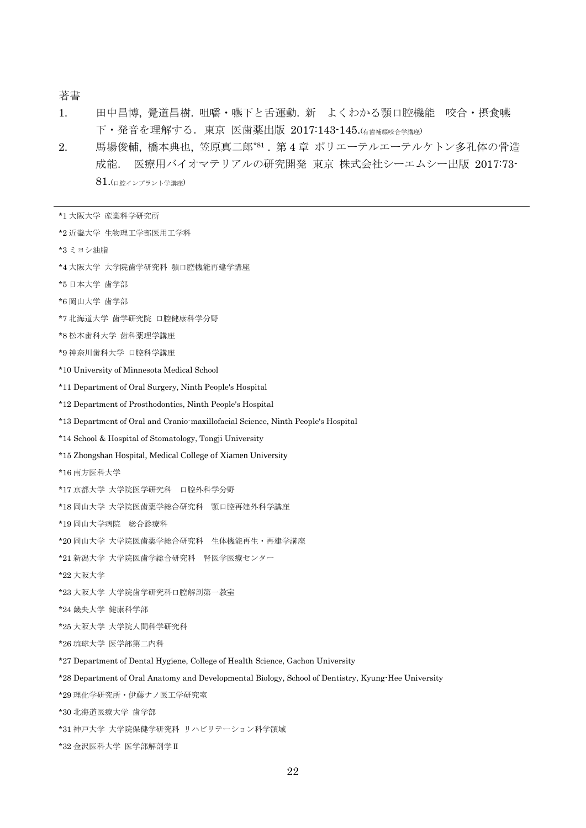### 著書

- 1. 田中昌博, 覺道昌樹. 咀嚼・嚥下と舌運動. 新 よくわかる顎口腔機能 咬合・摂食嚥 下・発音を理解する. 東京 医歯薬出版 2017:143-145.(有歯補綴咬合学講座)
- 2. 馬場俊輔, 橋本典也, 笠原真二郎\*81 . 第 4 章 ポリエーテルエーテルケトン多孔体の骨造 成能. 医療用バイオマテリアルの研究開発 東京 株式会社シーエムシー出版 2017:73- 81.(口腔インプラント学講座)

| *1 大阪大学 産業科学研究所                                                                                     |
|-----------------------------------------------------------------------------------------------------|
| *2 近畿大学 生物理工学部医用工学科                                                                                 |
| *3 ミヨシ油脂                                                                                            |
| *4 大阪大学 大学院歯学研究科 顎口腔機能再建学講座                                                                         |
| *5日本大学 歯学部                                                                                          |
| *6 岡山大学 歯学部                                                                                         |
| *7 北海道大学 歯学研究院 口腔健康科学分野                                                                             |
| *8 松本歯科大学 歯科薬理学講座                                                                                   |
| *9 神奈川歯科大学 口腔科学講座                                                                                   |
| *10 University of Minnesota Medical School                                                          |
| *11 Department of Oral Surgery, Ninth People's Hospital                                             |
| *12 Department of Prosthodontics, Ninth People's Hospital                                           |
| *13 Department of Oral and Cranio-maxillofacial Science, Ninth People's Hospital                    |
| *14 School & Hospital of Stomatology, Tongji University                                             |
| *15 Zhongshan Hospital, Medical College of Xiamen University                                        |
| *16 南方医科大学                                                                                          |
| *17 京都大学 大学院医学研究科 口腔外科学分野                                                                           |
| *18 岡山大学 大学院医歯薬学総合研究科 顎口腔再建外科学講座                                                                    |
| *19 岡山大学病院 総合診療科                                                                                    |
| *20 岡山大学 大学院医歯薬学総合研究科 生体機能再生・再建学講座                                                                  |
| *21 新潟大学 大学院医歯学総合研究科 腎医学医療センター                                                                      |
| *22 大阪大学                                                                                            |
| *23 大阪大学 大学院歯学研究科口腔解剖第一教室                                                                           |
| *24 畿央大学 健康科学部                                                                                      |
| *25 大阪大学 大学院人間科学研究科                                                                                 |
| *26 琉球大学 医学部第二内科                                                                                    |
| *27 Department of Dental Hygiene, College of Health Science, Gachon University                      |
| *28 Department of Oral Anatomy and Developmental Biology, School of Dentistry, Kyung-Hee University |
| *29 理化学研究所・伊藤ナノ医工学研究室                                                                               |
| *30 北海道医療大学 歯学部                                                                                     |
| *31 神戸大学 大学院保健学研究科 リハビリテーション科学領域                                                                    |
| *32 金沢医科大学 医学部解剖学Ⅱ                                                                                  |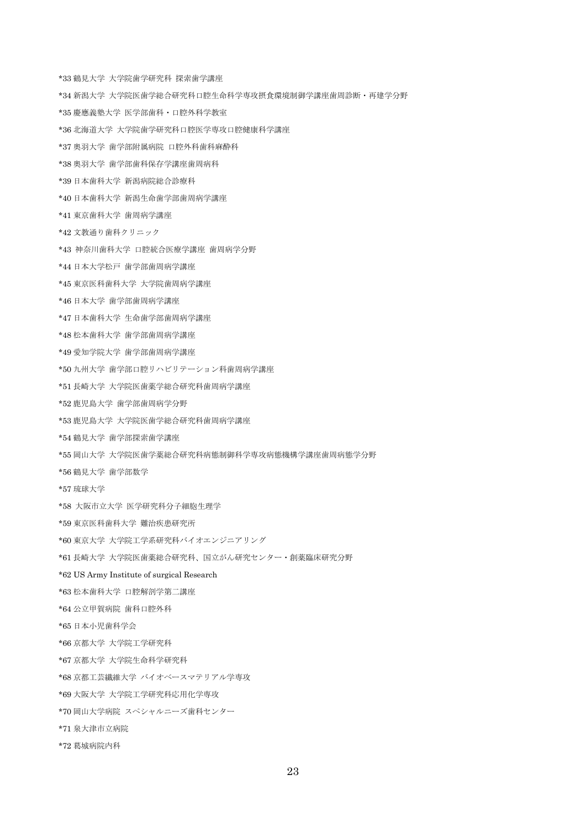\*33 鶴見大学 大学院歯学研究科 探索歯学講座

- \*34 新潟大学 大学院医歯学総合研究科口腔生命科学専攻摂食環境制御学講座歯周診断・再建学分野
- \*35 慶應義塾大学 医学部歯科・口腔外科学教室
- \*36 北海道大学 大学院歯学研究科口腔医学専攻口腔健康科学講座
- \*37 奥羽大学 歯学部附属病院 口腔外科歯科麻酔科
- \*38 奥羽大学 歯学部歯科保存学講座歯周病科
- \*39 日本歯科大学 新潟病院総合診療科
- \*40 日本歯科大学 新潟生命歯学部歯周病学講座
- \*41 東京歯科大学 歯周病学講座
- \*42 文教通り歯科クリニック
- \*43 神奈川歯科大学 口腔統合医療学講座 歯周病学分野
- \*44 日本大学松戸 歯学部歯周病学講座
- \*45 東京医科歯科大学 大学院歯周病学講座
- \*46 日本大学 歯学部歯周病学講座
- \*47 日本歯科大学 生命歯学部歯周病学講座
- \*48 松本歯科大学 歯学部歯周病学講座
- \*49 愛知学院大学 歯学部歯周病学講座
- \*50 九州大学 歯学部口腔リハビリテーション科歯周病学講座
- \*51 長崎大学 大学院医歯薬学総合研究科歯周病学講座
- \*52 鹿児島大学 歯学部歯周病学分野
- \*53 鹿児島大学 大学院医歯学総合研究科歯周病学講座
- \*54 鶴見大学 歯学部探索歯学講座
- \*55 岡山大学 大学院医歯学薬総合研究科病態制御科学専攻病態機構学講座歯周病態学分野
- \*56 鶴見大学 歯学部数学
- \*57 琉球大学
- \*58 大阪市立大学 医学研究科分子細胞生理学
- \*59 東京医科歯科大学 難治疾患研究所
- \*60 東京大学 大学院工学系研究科バイオエンジニアリング
- \*61 長崎大学 大学院医歯薬総合研究科、国立がん研究センター・創薬臨床研究分野
- \*62 US Army Institute of surgical Research
- \*63 松本歯科大学 口腔解剖学第二講座
- \*64 公立甲賀病院 歯科口腔外科
- \*65 日本小児歯科学会
- \*66 京都大学 大学院工学研究科
- \*67 京都大学 大学院生命科学研究科
- \*68 京都工芸繊維大学 バイオベースマテリアル学専攻
- \*69 大阪大学 大学院工学研究科応用化学専攻
- \*70 岡山大学病院 スペシャルニーズ歯科センター
- \*71 泉大津市立病院
- \*72 葛城病院内科